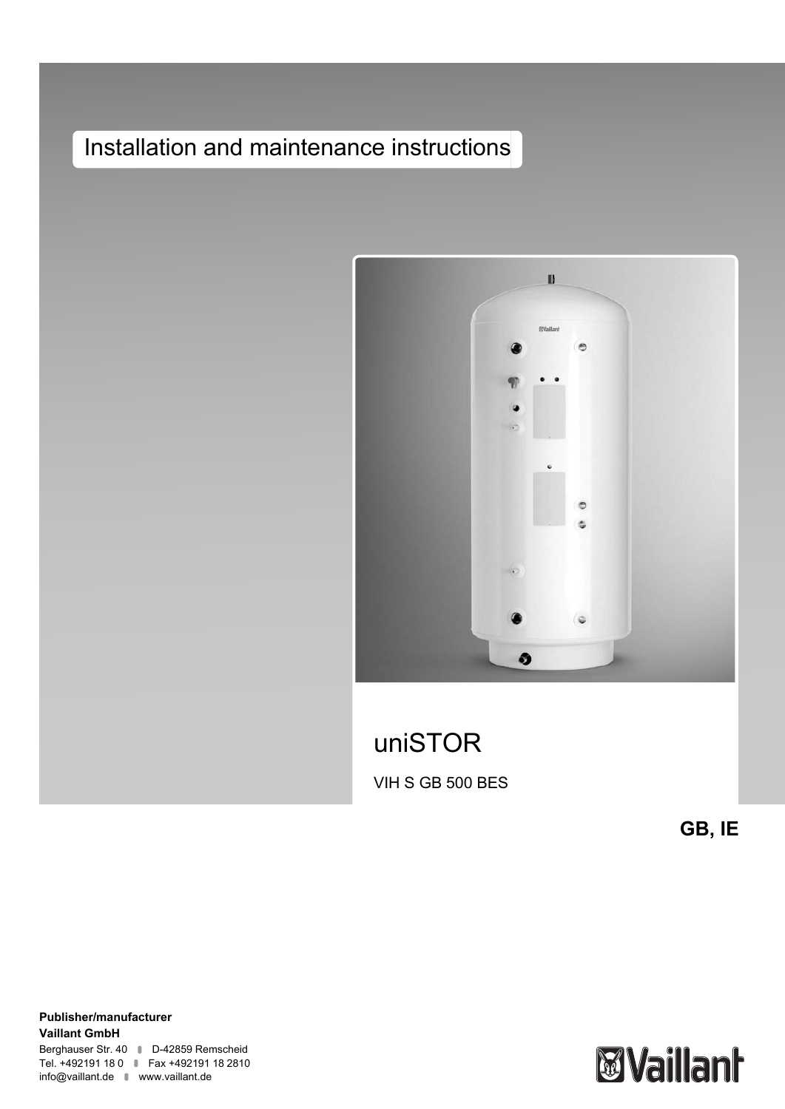# Installation and maintenance instructions



# uniSTOR VIH S GB 500 BES

**GB, IE**

**Publisher/manufacturer Vaillant GmbH** Berghauser Str. 40 D-42859 Remscheid Tel. +492191 18 0 | Fax +492191 18 2810 info@vaillant.de www.vaillant.de

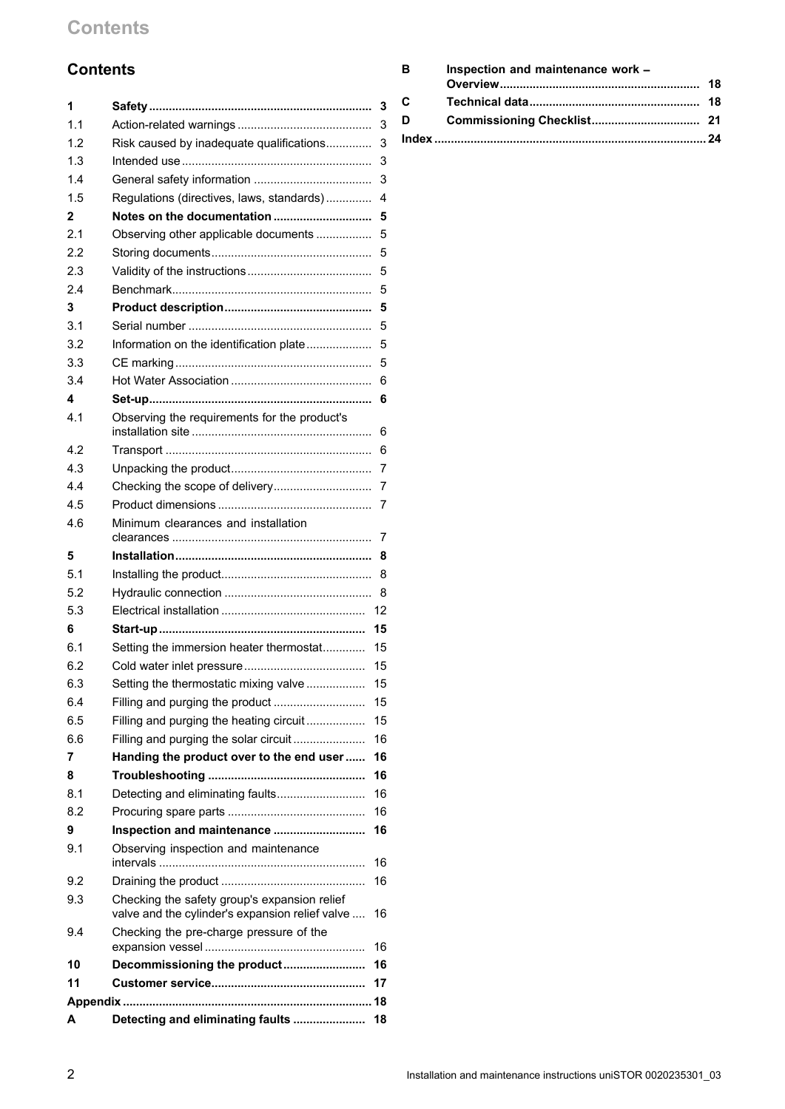## **Contents**

## **Contents**

| 1            |                                                 | 3      |
|--------------|-------------------------------------------------|--------|
| 1.1          |                                                 | 3      |
| 1.2          | Risk caused by inadequate qualifications        | 3      |
| 1.3          |                                                 | 3      |
| 1.4          |                                                 | 3      |
| 1.5          | Regulations (directives, laws, standards)       | 4      |
| $\mathbf{2}$ | Notes on the documentation                      | 5      |
| 2.1          | Observing other applicable documents            | 5      |
| 2.2          |                                                 | 5      |
| 2.3          |                                                 | 5      |
| 2.4          |                                                 | 5      |
| 3            |                                                 | 5      |
| 3.1          |                                                 | 5      |
| 3.2          | Information on the identification plate         | 5      |
| 3.3          |                                                 | 5      |
| 3.4          |                                                 | 6      |
| 4            |                                                 | 6      |
| 4.1          | Observing the requirements for the product's    |        |
| 4.2          |                                                 | 6<br>6 |
| 4.3          |                                                 | 7      |
| 4.4          |                                                 |        |
| 4.5          |                                                 | 7      |
| 4.6          | Minimum clearances and installation             | 7      |
|              |                                                 | 7      |
| 5            |                                                 | 8      |
| 5.1          |                                                 | 8      |
| 5.2          |                                                 | 8      |
| 5.3          |                                                 | 12     |
| 6            |                                                 | 15     |
| 6.1          | Setting the immersion heater thermostat         | 15     |
| 6.2          |                                                 | 15     |
| 6.3          | Setting the thermostatic mixing valve           | 15     |
| 6.4          |                                                 | 15     |
| 6.5          | Filling and purging the heating circuit         | 15     |
| 6.6          | Filling and purging the solar circuit           | 16     |
| 7            | Handing the product over to the end user        | 16     |
| 8            |                                                 | 16     |
| 8.1          | Detecting and eliminating faults                | 16     |
| 8.2          |                                                 | 16     |
| 9            | Inspection and maintenance                      | 16     |
| 9.1          | Observing inspection and maintenance            | 16     |
| 9.2          |                                                 | 16     |
| 9.3          | Checking the safety group's expansion relief    |        |
|              | valve and the cylinder's expansion relief valve | 16     |
| 9.4          | Checking the pre-charge pressure of the         | 16     |
| 10           | Decommissioning the product                     | 16     |
| 11           |                                                 | 17     |
|              |                                                 |        |
| A            | Detecting and eliminating faults                | 18     |

| в | Inspection and maintenance work - |  |  |  |
|---|-----------------------------------|--|--|--|
|   |                                   |  |  |  |
| C |                                   |  |  |  |
| D |                                   |  |  |  |
|   |                                   |  |  |  |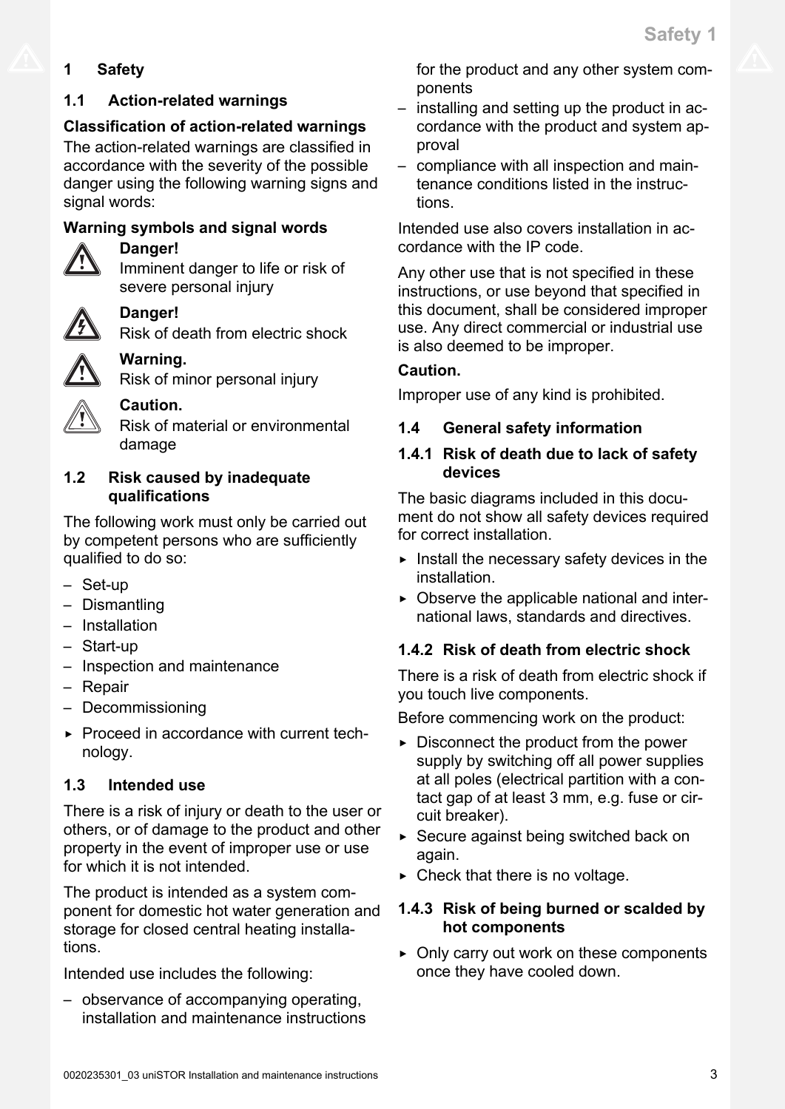## <span id="page-2-0"></span>**1 Safety**

## **1.1 Action-related warnings**

## **Classification of action-related warnings**

The action-related warnings are classified in accordance with the severity of the possible danger using the following warning signs and signal words:

## **Warning symbols and signal words**



## **Danger!**

Imminent danger to life or risk of severe personal injury

## **Danger!**

Risk of death from electric shock

## **Warning.** Risk of minor personal injury

**Caution.**

Risk of material or environmental damage

## **1.2 Risk caused by inadequate qualifications**

The following work must only be carried out by competent persons who are sufficiently qualified to do so:

- Set-up
- Dismantling
- Installation
- Start-up
- Inspection and maintenance
- Repair
- Decommissioning
- ▶ Proceed in accordance with current technology.

## **1.3 Intended use**

There is a risk of injury or death to the user or others, or of damage to the product and other property in the event of improper use or use for which it is not intended.

The product is intended as a system component for domestic hot water generation and storage for closed central heating installations.

Intended use includes the following:

– observance of accompanying operating, installation and maintenance instructions for the product and any other system components

- installing and setting up the product in accordance with the product and system approval
- compliance with all inspection and maintenance conditions listed in the instructions.

Intended use also covers installation in accordance with the IP code.

Any other use that is not specified in these instructions, or use beyond that specified in this document, shall be considered improper use. Any direct commercial or industrial use is also deemed to be improper.

## **Caution.**

Improper use of any kind is prohibited.

## **1.4 General safety information**

## **1.4.1 Risk of death due to lack of safety devices**

The basic diagrams included in this document do not show all safety devices required for correct installation.

- $\blacktriangleright$  Install the necessary safety devices in the installation.
- $\triangleright$  Observe the applicable national and international laws, standards and directives.

## **1.4.2 Risk of death from electric shock**

There is a risk of death from electric shock if you touch live components.

Before commencing work on the product:

- $\triangleright$  Disconnect the product from the power supply by switching off all power supplies at all poles (electrical partition with a contact gap of at least 3 mm, e.g. fuse or circuit breaker).
- ▶ Secure against being switched back on again.
- $\triangleright$  Check that there is no voltage.

## **1.4.3 Risk of being burned or scalded by hot components**

▶ Only carry out work on these components once they have cooled down.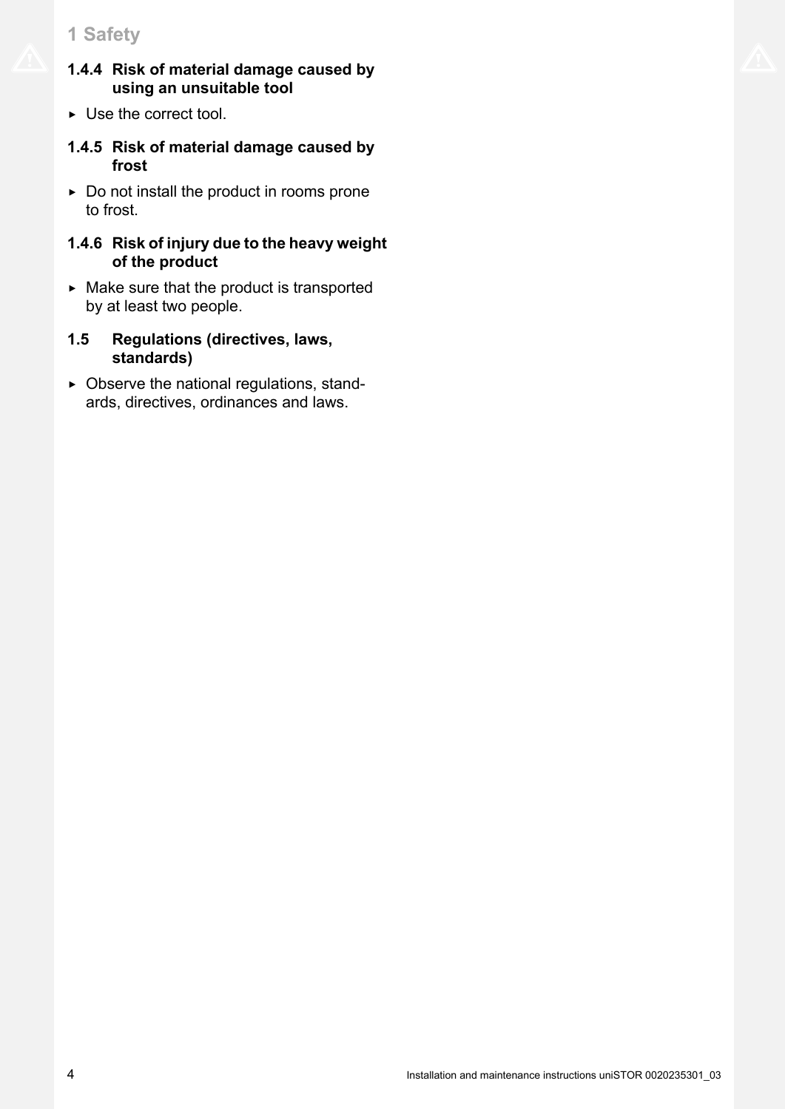## <span id="page-3-0"></span>**1 Safety**

- **1.4.4 Risk of material damage caused by using an unsuitable tool**
- $\triangleright$  Use the correct tool.
- **1.4.5 Risk of material damage caused by frost**
- $\triangleright$  Do not install the product in rooms prone to frost.

### **1.4.6 Risk of injury due to the heavy weight of the product**

- $\triangleright$  Make sure that the product is transported by at least two people.
- **1.5 Regulations (directives, laws, standards)**
- $\triangleright$  Observe the national regulations, standards, directives, ordinances and laws.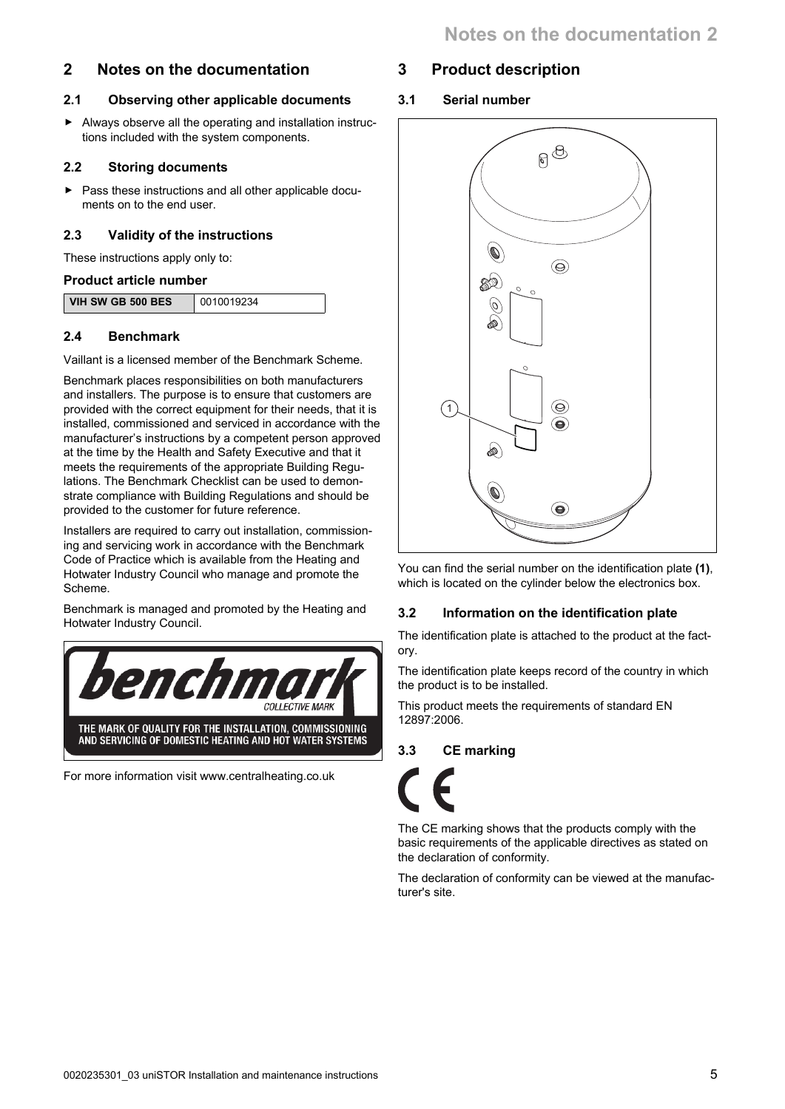## <span id="page-4-0"></span>**2 Notes on the documentation**

### **2.1 Observing other applicable documents**

▶ Always observe all the operating and installation instructions included with the system components.

#### **2.2 Storing documents**

▶ Pass these instructions and all other applicable documents on to the end user.

### **2.3 Validity of the instructions**

These instructions apply only to:

#### **Product article number**

| <b>VIH SW GB 500 BES</b> | 0010019234 |
|--------------------------|------------|

### **2.4 Benchmark**

Vaillant is a licensed member of the Benchmark Scheme.

Benchmark places responsibilities on both manufacturers and installers. The purpose is to ensure that customers are provided with the correct equipment for their needs, that it is installed, commissioned and serviced in accordance with the manufacturer's instructions by a competent person approved at the time by the Health and Safety Executive and that it meets the requirements of the appropriate Building Regulations. The Benchmark Checklist can be used to demonstrate compliance with Building Regulations and should be provided to the customer for future reference.

Installers are required to carry out installation, commissioning and servicing work in accordance with the Benchmark Code of Practice which is available from the Heating and Hotwater Industry Council who manage and promote the Scheme.

Benchmark is managed and promoted by the Heating and Hotwater Industry Council.



For more information visit www.centralheating.co.uk

## **3 Product description**

**3.1 Serial number**



You can find the serial number on the identification plate **(1)**, which is located on the cylinder below the electronics box.

## **3.2 Information on the identification plate**

The identification plate is attached to the product at the factory.

The identification plate keeps record of the country in which the product is to be installed.

This product meets the requirements of standard EN 12897:2006.

### **3.3 CE marking**

The CE marking shows that the products comply with the basic requirements of the applicable directives as stated on the declaration of conformity.

The declaration of conformity can be viewed at the manufacturer's site.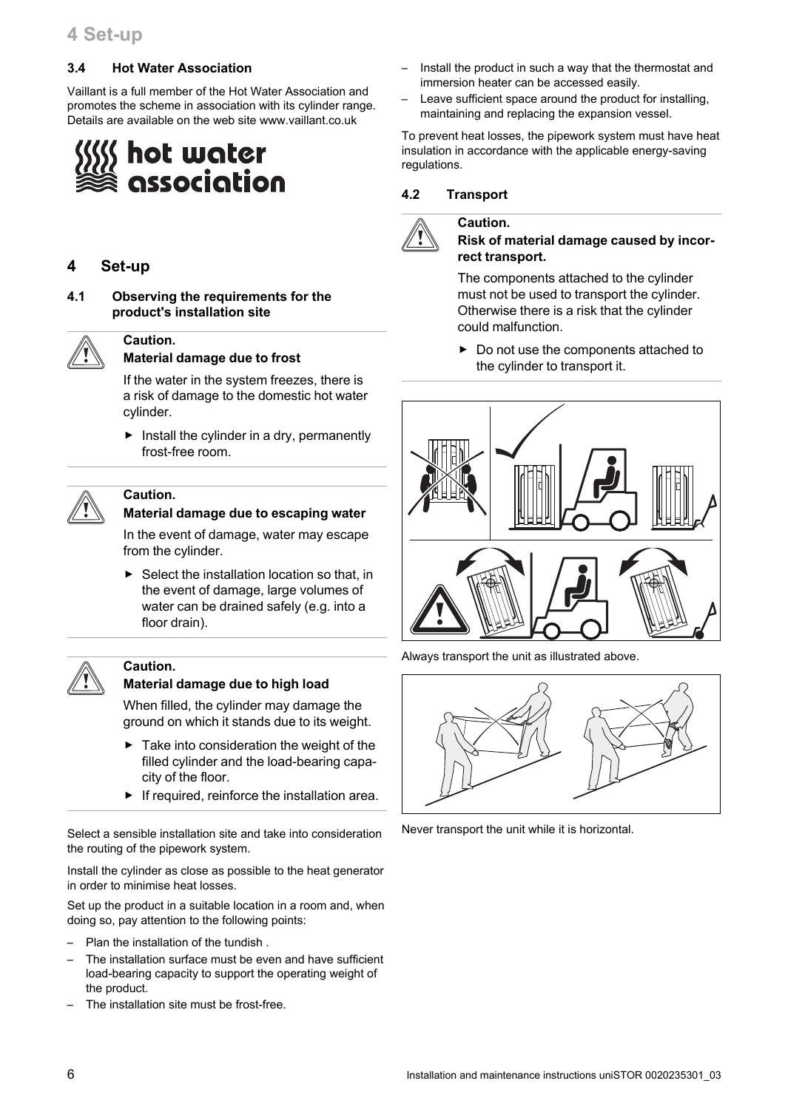#### <span id="page-5-0"></span>**3.4 Hot Water Association**

Vaillant is a full member of the Hot Water Association and promotes the scheme in association with its cylinder range. Details are available on the web site www.vaillant.co.uk

# hot water association

#### **4 Set-up**

**Caution.**

**4.1 Observing the requirements for the product's installation site**



#### **Material damage due to frost**

If the water in the system freezes, there is a risk of damage to the domestic hot water cylinder.

 $\blacktriangleright$  Install the cylinder in a dry, permanently frost-free room.



#### **Caution. Material damage due to escaping water**

In the event of damage, water may escape from the cylinder.

 $\triangleright$  Select the installation location so that, in the event of damage, large volumes of water can be drained safely (e.g. into a floor drain).

#### **Caution.**

#### **Material damage due to high load**

When filled, the cylinder may damage the ground on which it stands due to its weight.

- Take into consideration the weight of the filled cylinder and the load-bearing capacity of the floor.
- $\blacktriangleright$  If required, reinforce the installation area.

Select a sensible installation site and take into consideration the routing of the pipework system.

Install the cylinder as close as possible to the heat generator in order to minimise heat losses.

Set up the product in a suitable location in a room and, when doing so, pay attention to the following points:

- Plan the installation of the tundish .
- The installation surface must be even and have sufficient load-bearing capacity to support the operating weight of the product.
- The installation site must be frost-free.
- Install the product in such a way that the thermostat and immersion heater can be accessed easily.
- Leave sufficient space around the product for installing, maintaining and replacing the expansion vessel.

To prevent heat losses, the pipework system must have heat insulation in accordance with the applicable energy-saving regulations.

#### **4.2 Transport**

**Caution.**



#### **Risk of material damage caused by incorrect transport.**

The components attached to the cylinder must not be used to transport the cylinder. Otherwise there is a risk that the cylinder could malfunction.

▶ Do not use the components attached to the cylinder to transport it.



Always transport the unit as illustrated above.



Never transport the unit while it is horizontal.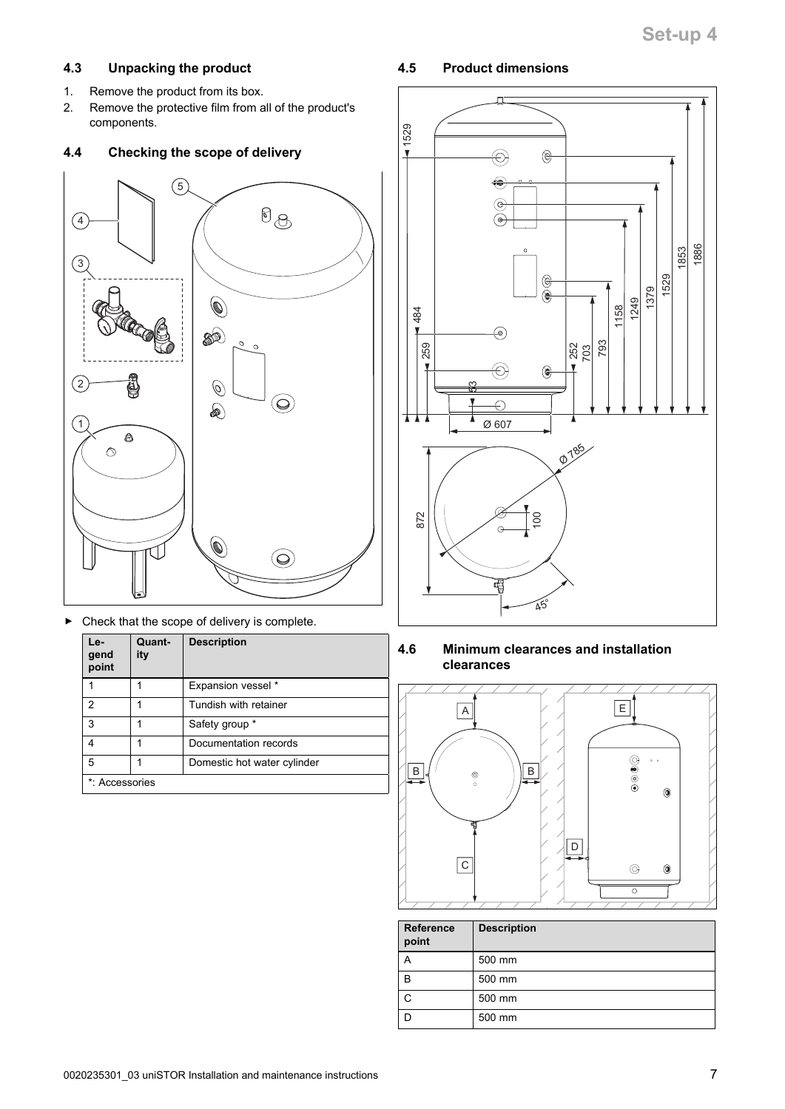## <span id="page-6-0"></span>**4.3 Unpacking the product**

- 1. Remove the product from its box.
- 2. Remove the protective film from all of the product's components.

## **4.4 Checking the scope of delivery**



Check that the scope of delivery is complete.

| Le-<br>gend<br>point | Quant-<br>ity | <b>Description</b>          |
|----------------------|---------------|-----------------------------|
|                      |               | Expansion vessel *          |
| 2                    |               | Tundish with retainer       |
| 3                    |               | Safety group *              |
| 4                    |               | Documentation records       |
| 5                    |               | Domestic hot water cylinder |
| *: Accessories       |               |                             |

## **4.5 Product dimensions**



**4.6 Minimum clearances and installation clearances**



| <b>Reference</b><br>point | <b>Description</b> |
|---------------------------|--------------------|
| А                         | 500 mm             |
| B                         | 500 mm             |
| C                         | 500 mm             |
|                           | 500 mm             |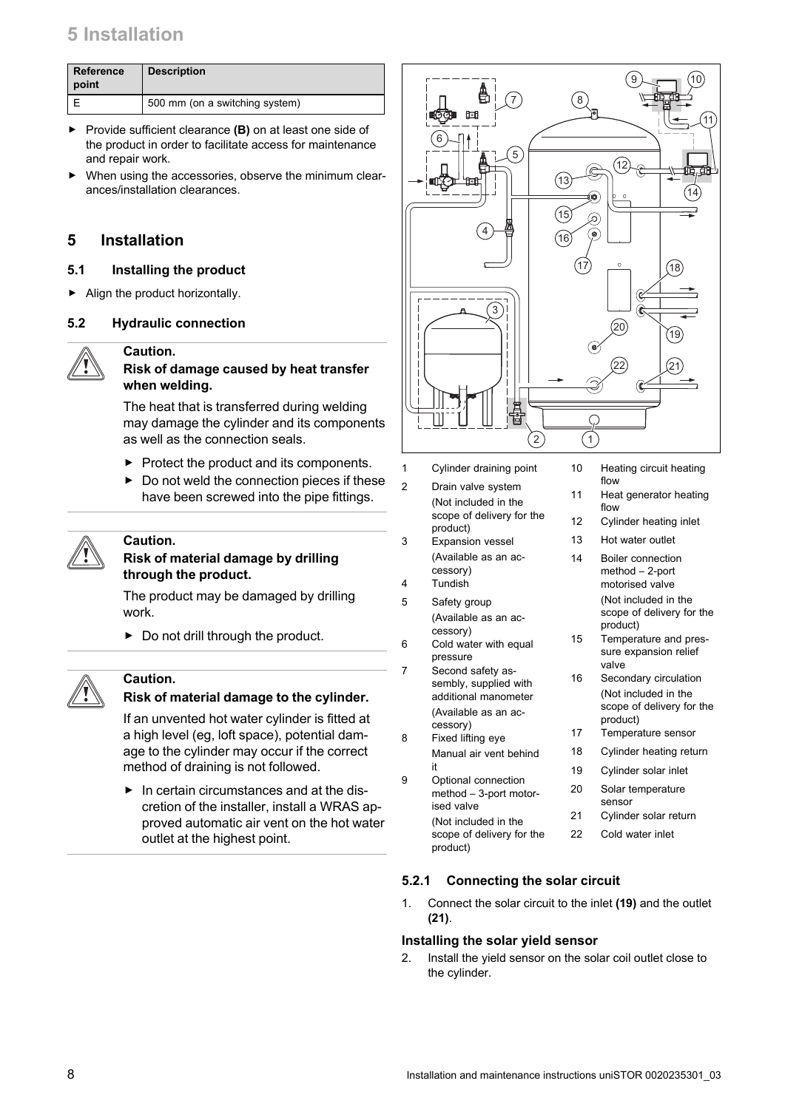<span id="page-7-0"></span>

| <b>Reference</b><br>point | <b>Description</b>             |
|---------------------------|--------------------------------|
|                           | 500 mm (on a switching system) |

- ▶ Provide sufficient clearance **(B)** on at least one side of the product in order to facilitate access for maintenance and repair work.
- When using the accessories, observe the minimum clearances/installation clearances.

#### **5 Installation**

#### **5.1 Installing the product**

▶ Align the product horizontally.

#### **5.2 Hydraulic connection**

#### **Caution. Risk of damage caused by heat transfer when welding.**

The heat that is transferred during welding may damage the cylinder and its components as well as the connection seals.

- ▶ Protect the product and its components.
- $\triangleright$  Do not weld the connection pieces if these have been screwed into the pipe fittings.



## **Caution.**

#### **Risk of material damage by drilling through the product.**

The product may be damaged by drilling work.

 $\triangleright$  Do not drill through the product.



#### **Caution.**

#### **Risk of material damage to the cylinder.**

If an unvented hot water cylinder is fitted at a high level (eg, loft space), potential damage to the cylinder may occur if the correct method of draining is not followed.

▶ In certain circumstances and at the discretion of the installer, install a WRAS approved automatic air vent on the hot water outlet at the highest point.



- 1 Cylinder draining point
- 2 Drain valve system (Not included in the scope of delivery for the product) 3 Expansion vessel (Available as an ac-
- cessory) 4 Tundish
- 
- 5 Safety group (Available as an accessory)
- 6 Cold water with equal pressure
- 7 Second safety assembly, supplied with additional manometer (Available as an accessory)
- 8 Fixed lifting eye Manual air vent behind it 9 Optional connection
- method 3-port motorised valve (Not included in the scope of delivery for the product)
- 10 Heating circuit heating flow
- 11 Heat generator heating flow
- 12 Cylinder heating inlet
- 13 Hot water outlet
- 14 Boiler connection method – 2-port motorised valve (Not included in the scope of delivery for the product) 15 Temperature and pres
	- sure expansion relief valve
- 16 Secondary circulation (Not included in the scope of delivery for the product)
- 17 Temperature sensor
- 18 Cylinder heating return
- 19 Cylinder solar inlet
- 20 Solar temperature sensor
- 21 Cylinder solar return
- 22 Cold water inlet

#### **5.2.1 Connecting the solar circuit**

1. Connect the solar circuit to the inlet **(19)** and the outlet **(21)**.

#### **Installing the solar yield sensor**

2. Install the yield sensor on the solar coil outlet close to the cylinder.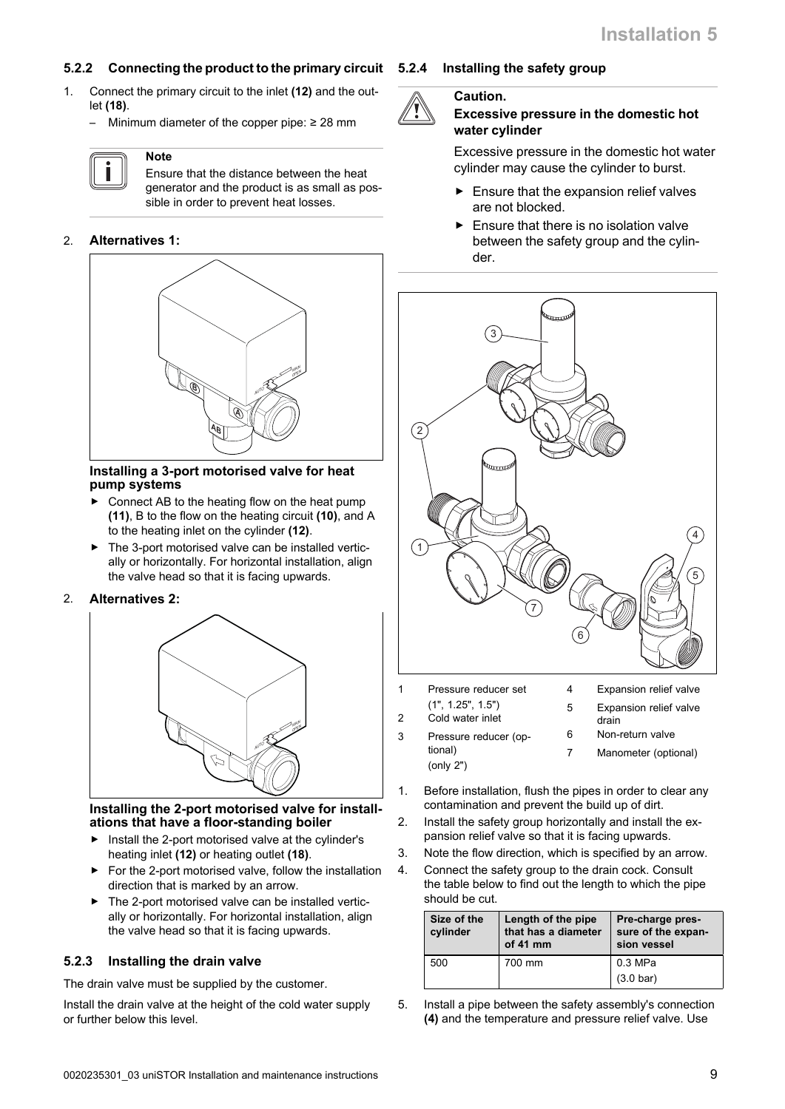#### <span id="page-8-0"></span>**5.2.2 Connecting the product to the primary circuit**

- 1. Connect the primary circuit to the inlet **(12)** and the outlet **(18)**.
	- Minimum diameter of the copper pipe:  $\geq 28$  mm

#### **Note**

Ensure that the distance between the heat generator and the product is as small as possible in order to prevent heat losses.

#### 2. **Alternatives 1:**



#### **Installing a 3-port motorised valve for heat pump systems**

- Connect AB to the heating flow on the heat pump **(11)**, B to the flow on the heating circuit **(10)**, and A to the heating inlet on the cylinder **(12)**.
- ▶ The 3-port motorised valve can be installed vertically or horizontally. For horizontal installation, align the valve head so that it is facing upwards.

#### 2. **Alternatives 2:**



#### **Installing the 2-port motorised valve for installations that have a floor-standing boiler**

- Install the 2-port motorised valve at the cylinder's heating inlet **(12)** or heating outlet **(18)**.
- For the 2-port motorised valve, follow the installation direction that is marked by an arrow.
- The 2-port motorised valve can be installed vertically or horizontally. For horizontal installation, align the valve head so that it is facing upwards.

#### **5.2.3 Installing the drain valve**

The drain valve must be supplied by the customer.

Install the drain valve at the height of the cold water supply or further below this level.

#### **5.2.4 Installing the safety group**



#### **Caution.**

#### **Excessive pressure in the domestic hot water cylinder**

Excessive pressure in the domestic hot water cylinder may cause the cylinder to burst.

- $\blacktriangleright$  Ensure that the expansion relief valves are not blocked.
- Ensure that there is no isolation valve between the safety group and the cylinder.



- 1 Pressure reducer set
- (1", 1.25", 1.5")
- 2 Cold water inlet

3 Pressure reducer (optional) (only 2")

- drain
	- 6 Non-return valve
	- 7 Manometer (optional)

4 Expansion relief valve 5 Expansion relief valve

- 1. Before installation, flush the pipes in order to clear any contamination and prevent the build up of dirt.
- 2. Install the safety group horizontally and install the expansion relief valve so that it is facing upwards.
- 3. Note the flow direction, which is specified by an arrow.
- 4. Connect the safety group to the drain cock. Consult the table below to find out the length to which the pipe should be cut.

| Size of the<br>cylinder | Length of the pipe<br>that has a diameter<br>of $41$ mm | Pre-charge pres-<br>sure of the expan-<br>sion vessel |  |
|-------------------------|---------------------------------------------------------|-------------------------------------------------------|--|
| 500                     | 700 mm                                                  | $0.3$ MPa<br>$(3.0 \text{ bar})$                      |  |

5. Install a pipe between the safety assembly's connection **(4)** and the temperature and pressure relief valve. Use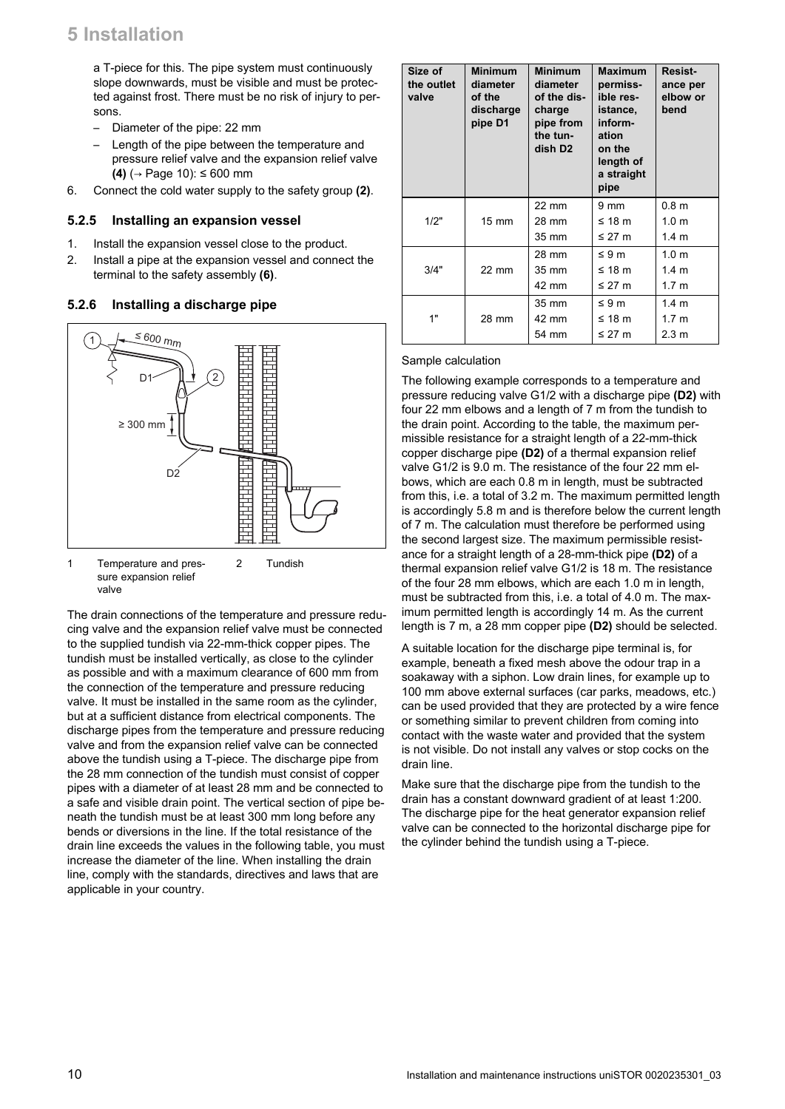<span id="page-9-0"></span>a T-piece for this. The pipe system must continuously slope downwards, must be visible and must be protected against frost. There must be no risk of injury to persons.

- Diameter of the pipe: 22 mm
- Length of the pipe between the temperature and pressure relief valve and the expansion relief valve **(4)** (→ Page 10): ≤ 600 mm
- 6. Connect the cold water supply to the safety group **(2)**.

#### **5.2.5 Installing an expansion vessel**

- 1. Install the expansion vessel close to the product.
- 2. Install a pipe at the expansion vessel and connect the terminal to the safety assembly **(6)**.

#### **5.2.6 Installing a discharge pipe**



1 Temperature and pressure expansion relief valve 2 Tundish

The drain connections of the temperature and pressure reducing valve and the expansion relief valve must be connected to the supplied tundish via 22-mm-thick copper pipes. The tundish must be installed vertically, as close to the cylinder as possible and with a maximum clearance of 600 mm from the connection of the temperature and pressure reducing valve. It must be installed in the same room as the cylinder, but at a sufficient distance from electrical components. The discharge pipes from the temperature and pressure reducing valve and from the expansion relief valve can be connected above the tundish using a T-piece. The discharge pipe from the 28 mm connection of the tundish must consist of copper pipes with a diameter of at least 28 mm and be connected to a safe and visible drain point. The vertical section of pipe beneath the tundish must be at least 300 mm long before any bends or diversions in the line. If the total resistance of the drain line exceeds the values in the following table, you must increase the diameter of the line. When installing the drain line, comply with the standards, directives and laws that are applicable in your country.

| Size of<br>the outlet<br>valve | <b>Minimum</b><br>diameter<br>of the<br>discharge<br>pipe D1 | <b>Minimum</b><br>diameter<br>of the dis-<br>charge<br>pipe from<br>the tun-<br>dish D <sub>2</sub> | <b>Maximum</b><br>permiss-<br>ible res-<br>istance,<br>inform-<br>ation<br>on the<br>length of<br>a straight<br>pipe | Resist-<br>ance per<br>elbow or<br>bend |
|--------------------------------|--------------------------------------------------------------|-----------------------------------------------------------------------------------------------------|----------------------------------------------------------------------------------------------------------------------|-----------------------------------------|
|                                |                                                              | 22 mm                                                                                               | $9 \text{ mm}$                                                                                                       | 0.8 <sub>m</sub>                        |
| 1/2"                           | $15 \text{ mm}$                                              | 28 mm                                                                                               | ≤ 18 $m$                                                                                                             | 1.0 <sub>m</sub>                        |
|                                |                                                              | 35 mm                                                                                               | ≤ 27 $m$                                                                                                             | 1.4 <sub>m</sub>                        |
|                                |                                                              | 28 mm                                                                                               | $\leq 9 \text{ m}$                                                                                                   | 1.0 <sub>m</sub>                        |
| 3/4"                           | 22 mm                                                        | 35 mm                                                                                               | ≤ 18 m                                                                                                               | 1.4 m                                   |
|                                |                                                              | 42 mm                                                                                               | ≤ 27 $m$                                                                                                             | 1.7 <sub>m</sub>                        |
|                                |                                                              | 35 mm                                                                                               | $\leq 9 \text{ m}$                                                                                                   | 1.4 <sub>m</sub>                        |
| 1"                             | 28 mm                                                        | 42 mm                                                                                               | ≤ 18 $m$                                                                                                             | 1.7 <sub>m</sub>                        |
|                                |                                                              | 54 mm                                                                                               | ≤ 27 m                                                                                                               | 2.3 m                                   |

#### Sample calculation

The following example corresponds to a temperature and pressure reducing valve G1/2 with a discharge pipe **(D2)** with four 22 mm elbows and a length of 7 m from the tundish to the drain point. According to the table, the maximum permissible resistance for a straight length of a 22-mm-thick copper discharge pipe **(D2)** of a thermal expansion relief valve G1/2 is 9.0 m. The resistance of the four 22 mm elbows, which are each 0.8 m in length, must be subtracted from this, i.e. a total of 3.2 m. The maximum permitted length is accordingly 5.8 m and is therefore below the current length of 7 m. The calculation must therefore be performed using the second largest size. The maximum permissible resistance for a straight length of a 28-mm-thick pipe **(D2)** of a thermal expansion relief valve G1/2 is 18 m. The resistance of the four 28 mm elbows, which are each 1.0 m in length, must be subtracted from this, i.e. a total of 4.0 m. The maximum permitted length is accordingly 14 m. As the current length is 7 m, a 28 mm copper pipe **(D2)** should be selected.

A suitable location for the discharge pipe terminal is, for example, beneath a fixed mesh above the odour trap in a soakaway with a siphon. Low drain lines, for example up to 100 mm above external surfaces (car parks, meadows, etc.) can be used provided that they are protected by a wire fence or something similar to prevent children from coming into contact with the waste water and provided that the system is not visible. Do not install any valves or stop cocks on the drain line.

Make sure that the discharge pipe from the tundish to the drain has a constant downward gradient of at least 1:200. The discharge pipe for the heat generator expansion relief valve can be connected to the horizontal discharge pipe for the cylinder behind the tundish using a T-piece.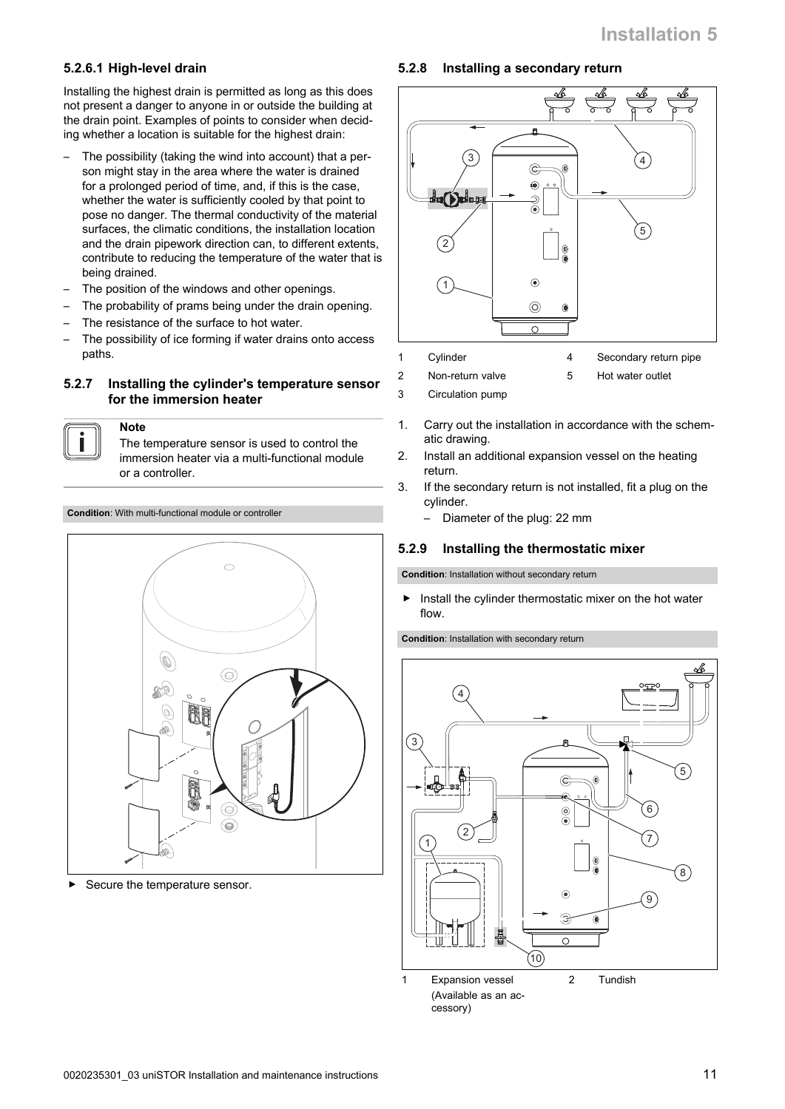#### **5.2.6.1 High-level drain**

Installing the highest drain is permitted as long as this does not present a danger to anyone in or outside the building at the drain point. Examples of points to consider when deciding whether a location is suitable for the highest drain:

- The possibility (taking the wind into account) that a person might stay in the area where the water is drained for a prolonged period of time, and, if this is the case, whether the water is sufficiently cooled by that point to pose no danger. The thermal conductivity of the material surfaces, the climatic conditions, the installation location and the drain pipework direction can, to different extents, contribute to reducing the temperature of the water that is being drained.
- The position of the windows and other openings.
- The probability of prams being under the drain opening.
- The resistance of the surface to hot water.
- The possibility of ice forming if water drains onto access paths.

#### **5.2.7 Installing the cylinder's temperature sensor for the immersion heater**

**Note**

The temperature sensor is used to control the immersion heater via a multi-functional module or a controller.

**Condition**: With multi-functional module or controller



Secure the temperature sensor.

#### **5.2.8 Installing a secondary return**



1 Cylinder

2 Non-return valve

4 Secondary return pipe

3 Circulation pump

- 5 Hot water outlet
- 
- 1. Carry out the installation in accordance with the schematic drawing.
- 2. Install an additional expansion vessel on the heating return.
- 3. If the secondary return is not installed, fit a plug on the cylinder.
	- Diameter of the plug: 22 mm

#### **5.2.9 Installing the thermostatic mixer**

**Condition**: Installation without secondary return

 $\blacktriangleright$  Install the cylinder thermostatic mixer on the hot water flow.

**Condition**: Installation with secondary return

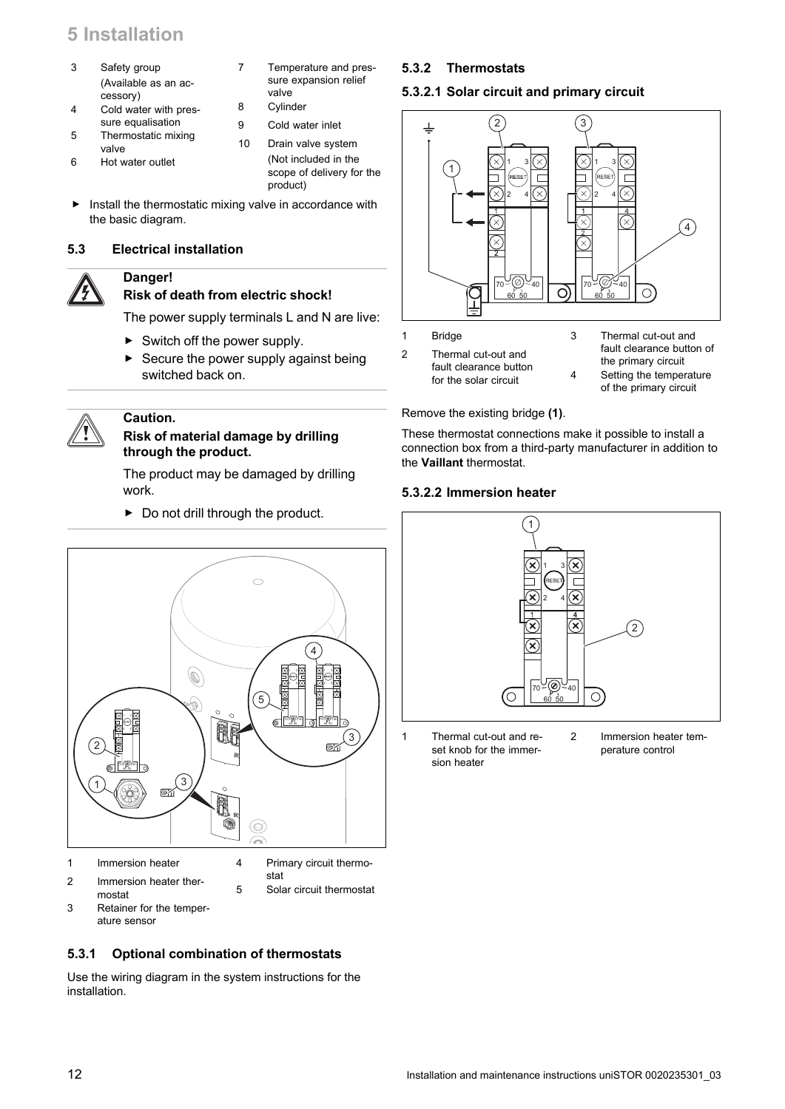- <span id="page-11-0"></span>3 Safety group (Available as an accessory)
- 4 Cold water with pressure equalisation
- 5 Thermostatic mixing valve
- 6 Hot water outlet
- 7 Temperature and pressure expansion relief valve
- 8 Cylinder
- 9 Cold water inlet
- 10 Drain valve system (Not included in the scope of delivery for the product)
- ▶ Install the thermostatic mixing valve in accordance with the basic diagram.

#### **5.3 Electrical installation**



#### **Danger!**

### **Risk of death from electric shock!**

The power supply terminals L and N are live:

- $\blacktriangleright$  Switch off the power supply.
- Secure the power supply against being switched back on.



#### **Caution.**

#### **Risk of material damage by drilling through the product.**

 $\triangleright$  Do not drill through the product.

The product may be damaged by drilling work.

- $\overline{\mathbb{C}}$ 4  $\mathbf{\mathbb{Q}}$ <sub>1</sub> <sub>3</sub> 1 3 2 4 2 4 5 1 3 40 **70 70 70 70 70** 40 60 50 60 50 2 4 3 2 67 40 60 50  $(3)$ 1 87  $\circledcirc$ À
- 1 Immersion heater 2 Immersion heater ther-
- 4 Primary circuit thermostat

5 Solar circuit thermostat

mostat 3 Retainer for the temperature sensor

#### **5.3.1 Optional combination of thermostats**

Use the wiring diagram in the system instructions for the installation.

#### **5.3.2 Thermostats**

#### **5.3.2.1 Solar circuit and primary circuit**



- fault clearance button for the solar circuit
- the primary circuit 4 Setting the temperature of the primary circuit

#### Remove the existing bridge **(1)**.

These thermostat connections make it possible to install a connection box from a third-party manufacturer in addition to the **Vaillant** thermostat.

#### **5.3.2.2 Immersion heater**



1 Thermal cut-out and reset knob for the immersion heater

2 Immersion heater temperature control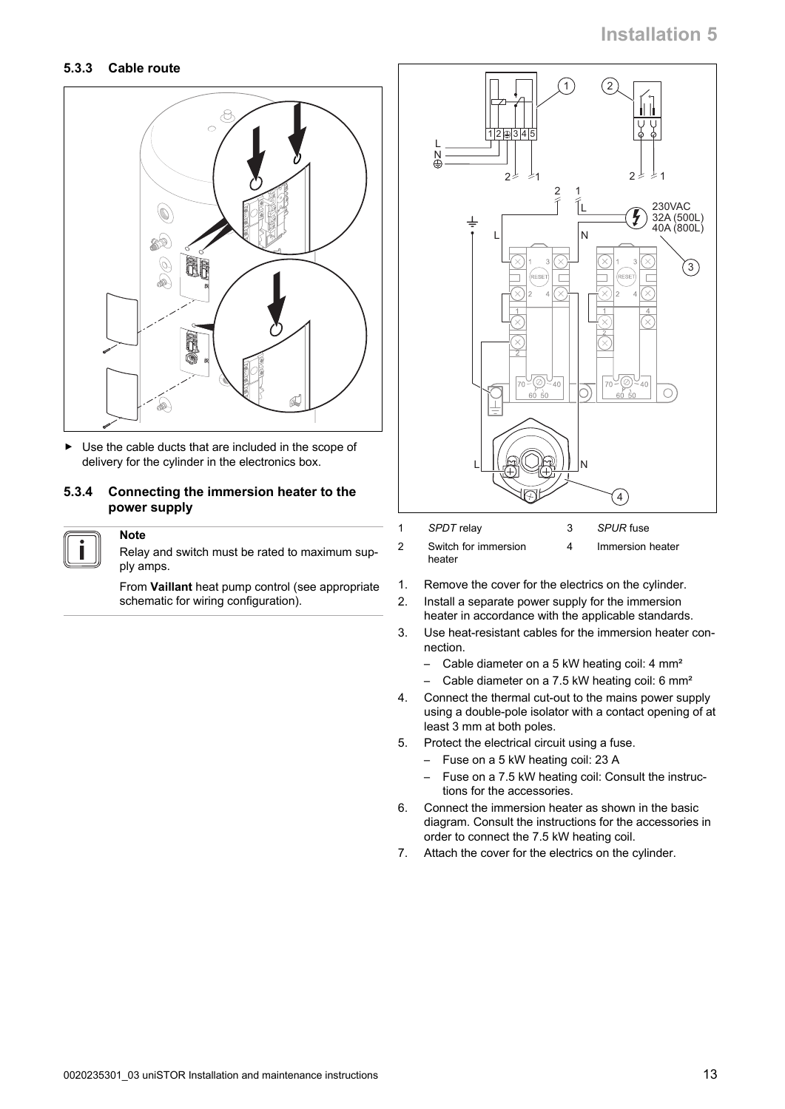#### **5.3.3 Cable route**



▶ Use the cable ducts that are included in the scope of delivery for the cylinder in the electronics box.

#### **5.3.4 Connecting the immersion heater to the power supply**

#### **Note**

Relay and switch must be rated to maximum supply amps.

From **Vaillant** heat pump control (see appropriate schematic for wiring configuration).



| <i>SPDI</i> relay              | <i>SPURT</i> use |
|--------------------------------|------------------|
| Switch for immersion<br>heater | Immersion heater |

- 1. Remove the cover for the electrics on the cylinder.
- 2. Install a separate power supply for the immersion heater in accordance with the applicable standards.
- 3. Use heat-resistant cables for the immersion heater connection.
	- Cable diameter on a 5 kW heating coil: 4 mm<sup>2</sup>
	- Cable diameter on a 7.5 kW heating coil: 6 mm<sup>2</sup>
- 4. Connect the thermal cut-out to the mains power supply using a double-pole isolator with a contact opening of at least 3 mm at both poles.
- 5. Protect the electrical circuit using a fuse.
	- Fuse on a 5 kW heating coil: 23 A
	- Fuse on a 7.5 kW heating coil: Consult the instructions for the accessories.
- 6. Connect the immersion heater as shown in the basic diagram. Consult the instructions for the accessories in order to connect the 7.5 kW heating coil.
- 7. Attach the cover for the electrics on the cylinder.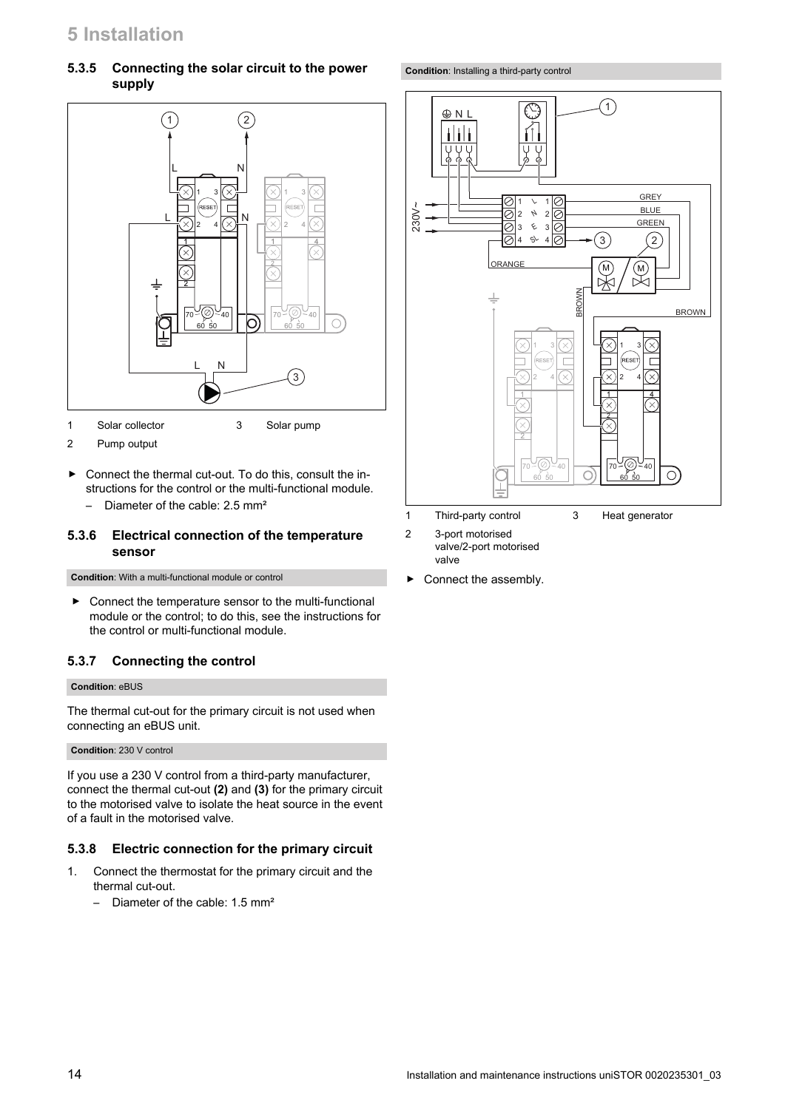#### **5.3.5 Connecting the solar circuit to the power supply**



- 1 Solar collector 3 Solar pump
- 2 Pump output
- ▶ Connect the thermal cut-out. To do this, consult the instructions for the control or the multi-functional module.
	- Diameter of the cable: 2.5 mm²

#### **5.3.6 Electrical connection of the temperature sensor**

**Condition**: With a multi-functional module or control

▶ Connect the temperature sensor to the multi-functional module or the control; to do this, see the instructions for the control or multi-functional module.

#### **5.3.7 Connecting the control**

#### **Condition**: eBUS

The thermal cut-out for the primary circuit is not used when connecting an eBUS unit.

#### **Condition**: 230 V control

If you use a 230 V control from a third-party manufacturer, connect the thermal cut-out **(2)** and **(3)** for the primary circuit to the motorised valve to isolate the heat source in the event of a fault in the motorised valve.

#### **5.3.8 Electric connection for the primary circuit**

- 1. Connect the thermostat for the primary circuit and the thermal cut-out.
	- Diameter of the cable: 1.5 mm²

**Condition**: Installing a third-party control



- 2 3-port motorised
- valve/2-port motorised valve
- ▶ Connect the assembly.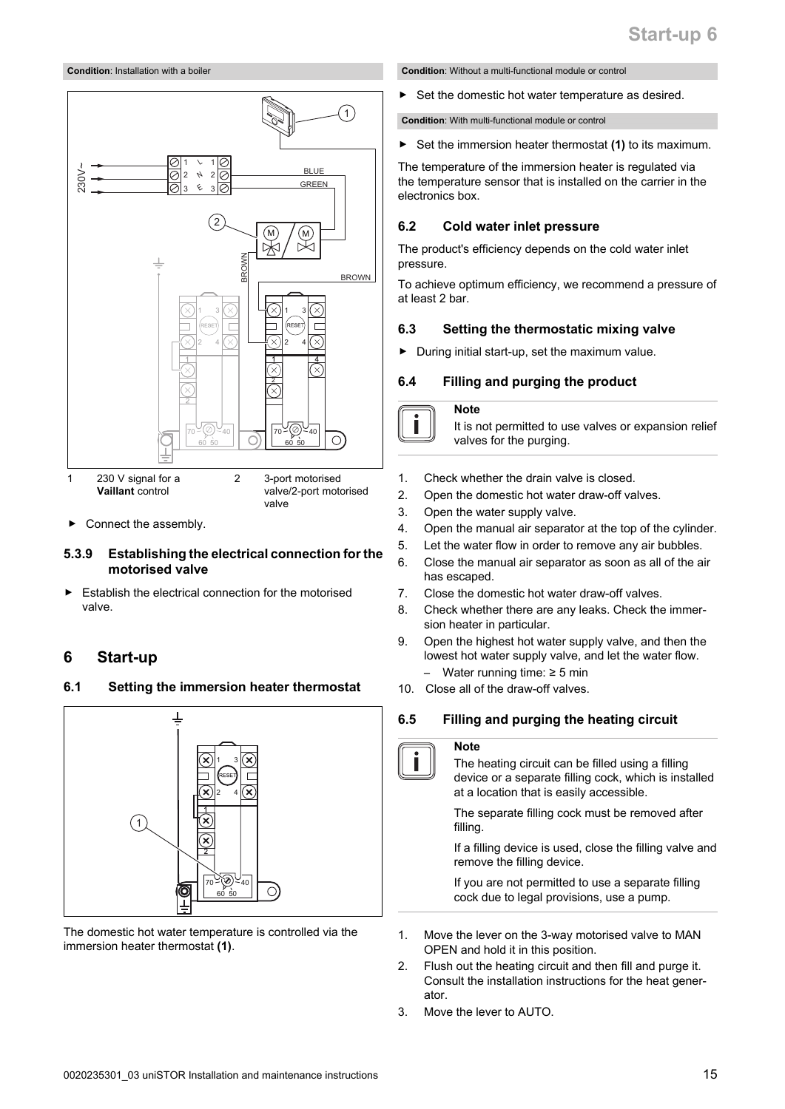#### <span id="page-14-0"></span>**Condition**: Installation with a boiler



Connect the assembly.

#### **5.3.9 Establishing the electrical connection for the motorised valve**

Establish the electrical connection for the motorised valve.

#### **6 Start-up**

#### **6.1 Setting the immersion heater thermostat**



The domestic hot water temperature is controlled via the immersion heater thermostat **(1)**.

**Condition**: Without a multi-functional module or control

▶ Set the domestic hot water temperature as desired.

**Condition**: With multi-functional module or control

Set the immersion heater thermostat (1) to its maximum.

The temperature of the immersion heater is regulated via the temperature sensor that is installed on the carrier in the electronics box.

#### **6.2 Cold water inlet pressure**

The product's efficiency depends on the cold water inlet pressure.

To achieve optimum efficiency, we recommend a pressure of at least 2 bar.

#### **6.3 Setting the thermostatic mixing valve**

▶ During initial start-up, set the maximum value.

#### **6.4 Filling and purging the product**

**Note**

It is not permitted to use valves or expansion relief valves for the purging.

- 1. Check whether the drain valve is closed.
- 2. Open the domestic hot water draw-off valves.
- 3. Open the water supply valve.
- 4. Open the manual air separator at the top of the cylinder.
- 5. Let the water flow in order to remove any air bubbles.
- 6. Close the manual air separator as soon as all of the air has escaped.
- 7. Close the domestic hot water draw-off valves.
- 8. Check whether there are any leaks. Check the immersion heater in particular.
- 9. Open the highest hot water supply valve, and then the lowest hot water supply valve, and let the water flow. Water running time:  $≥ 5$  min
- 10. Close all of the draw-off valves.

#### **6.5 Filling and purging the heating circuit**

#### **Note**

The heating circuit can be filled using a filling device or a separate filling cock, which is installed at a location that is easily accessible.

The separate filling cock must be removed after filling.

If a filling device is used, close the filling valve and remove the filling device.

If you are not permitted to use a separate filling cock due to legal provisions, use a pump.

- 1. Move the lever on the 3-way motorised valve to MAN OPEN and hold it in this position.
- 2. Flush out the heating circuit and then fill and purge it. Consult the installation instructions for the heat generator.
- 3. Move the lever to AUTO.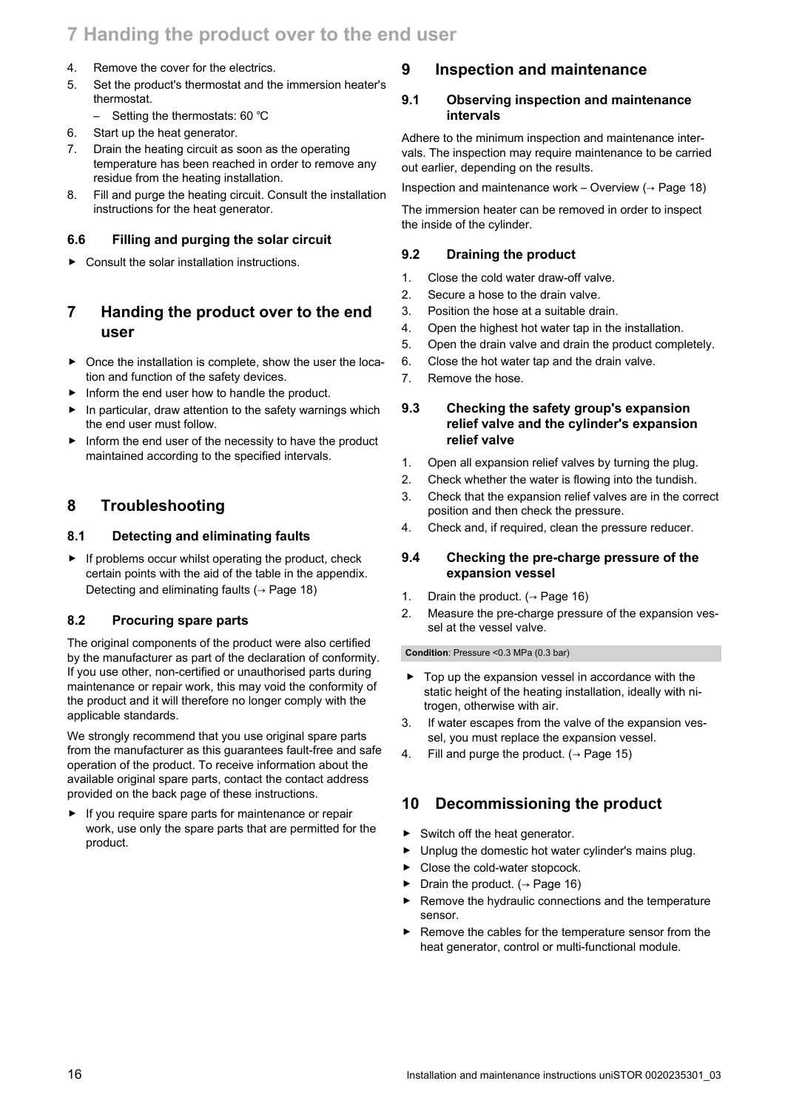## <span id="page-15-0"></span>**7 Handing the product over to the end user**

- 4. Remove the cover for the electrics.
- 5. Set the product's thermostat and the immersion heater's thermostat.
	- Setting the thermostats: 60 ℃
- 6. Start up the heat generator.
- 7. Drain the heating circuit as soon as the operating temperature has been reached in order to remove any residue from the heating installation.
- 8. Fill and purge the heating circuit. Consult the installation instructions for the heat generator.

#### **6.6 Filling and purging the solar circuit**

 $\triangleright$  Consult the solar installation instructions.

## **7 Handing the product over to the end user**

- $\triangleright$  Once the installation is complete, show the user the location and function of the safety devices.
- Inform the end user how to handle the product.
- In particular, draw attention to the safety warnings which the end user must follow.
- $\blacktriangleright$  Inform the end user of the necessity to have the product maintained according to the specified intervals.

#### **8 Troubleshooting**

#### **8.1 Detecting and eliminating faults**

 $\blacktriangleright$  If problems occur whilst operating the product, check certain points with the aid of the table in the appendix. Detecting and eliminating faults ( $\rightarrow$  [Page 18\)](#page-17-0)

#### **8.2 Procuring spare parts**

The original components of the product were also certified by the manufacturer as part of the declaration of conformity. If you use other, non-certified or unauthorised parts during maintenance or repair work, this may void the conformity of the product and it will therefore no longer comply with the applicable standards.

We strongly recommend that you use original spare parts from the manufacturer as this guarantees fault-free and safe operation of the product. To receive information about the available original spare parts, contact the contact address provided on the back page of these instructions.

If you require spare parts for maintenance or repair work, use only the spare parts that are permitted for the product.

#### **9 Inspection and maintenance**

#### **9.1 Observing inspection and maintenance intervals**

Adhere to the minimum inspection and maintenance intervals. The inspection may require maintenance to be carried out earlier, depending on the results.

Inspection and maintenance work – Overview  $($   $\rightarrow$  [Page 18\)](#page-17-0)

The immersion heater can be removed in order to inspect the inside of the cylinder.

#### **9.2 Draining the product**

- 1. Close the cold water draw-off valve.
- 2. Secure a hose to the drain valve.
- 3. Position the hose at a suitable drain.
- 4. Open the highest hot water tap in the installation.
- 5. Open the drain valve and drain the product completely.
- 6. Close the hot water tap and the drain valve.
- 7. Remove the hose.

#### **9.3 Checking the safety group's expansion relief valve and the cylinder's expansion relief valve**

- 1. Open all expansion relief valves by turning the plug.
- 2. Check whether the water is flowing into the tundish.
- 3. Check that the expansion relief valves are in the correct position and then check the pressure.
- 4. Check and, if required, clean the pressure reducer.

#### **9.4 Checking the pre-charge pressure of the expansion vessel**

- 1. Drain the product.  $($  + Page 16)
- 2. Measure the pre-charge pressure of the expansion vessel at the vessel valve.

#### **Condition**: Pressure <0.3 MPa (0.3 bar)

- Top up the expansion vessel in accordance with the static height of the heating installation, ideally with nitrogen, otherwise with air.
- 3. If water escapes from the valve of the expansion vessel, you must replace the expansion vessel.
- 4. Fill and purge the product.  $( \rightarrow$  [Page 15\)](#page-14-0)

#### **10 Decommissioning the product**

- ▶ Switch off the heat generator.
- ▶ Unplug the domestic hot water cylinder's mains plug.
- ▶ Close the cold-water stopcock.
- Drain the product. ( $\rightarrow$  Page 16)
- ▶ Remove the hydraulic connections and the temperature sensor.
- Remove the cables for the temperature sensor from the heat generator, control or multi-functional module.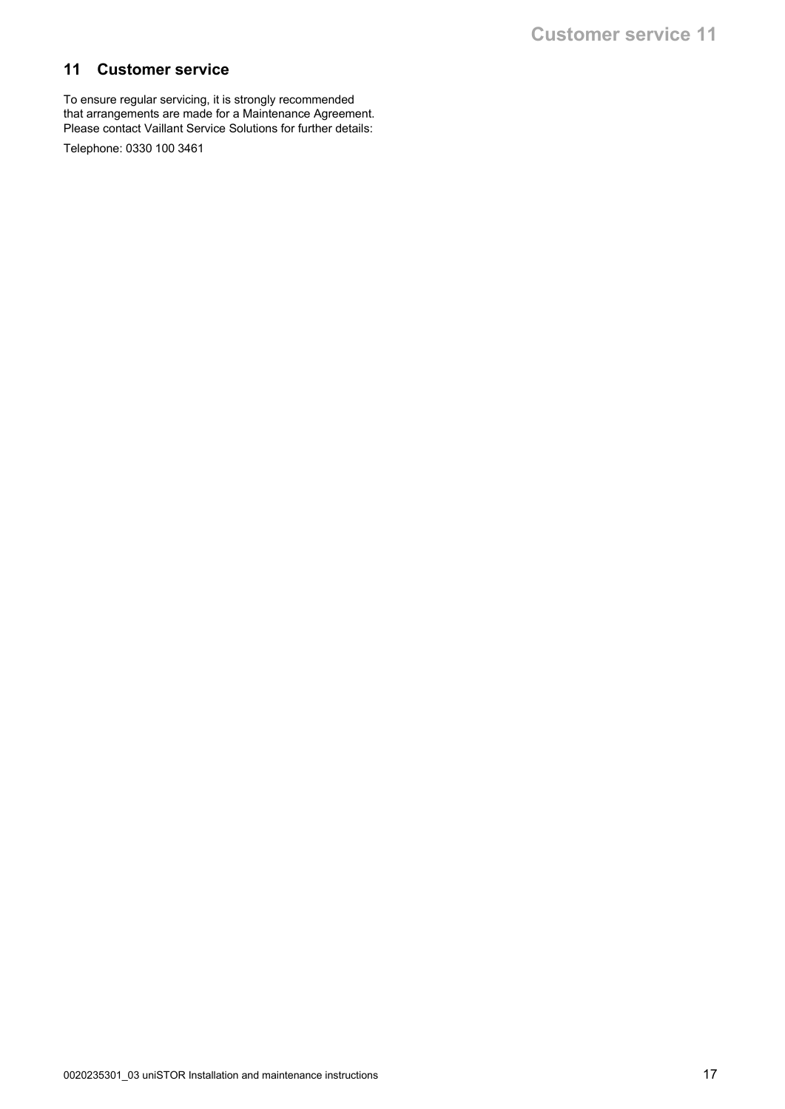## <span id="page-16-0"></span>**11 Customer service**

To ensure regular servicing, it is strongly recommended that arrangements are made for a Maintenance Agreement. Please contact Vaillant Service Solutions for further details:

Telephone: 0330 100 3461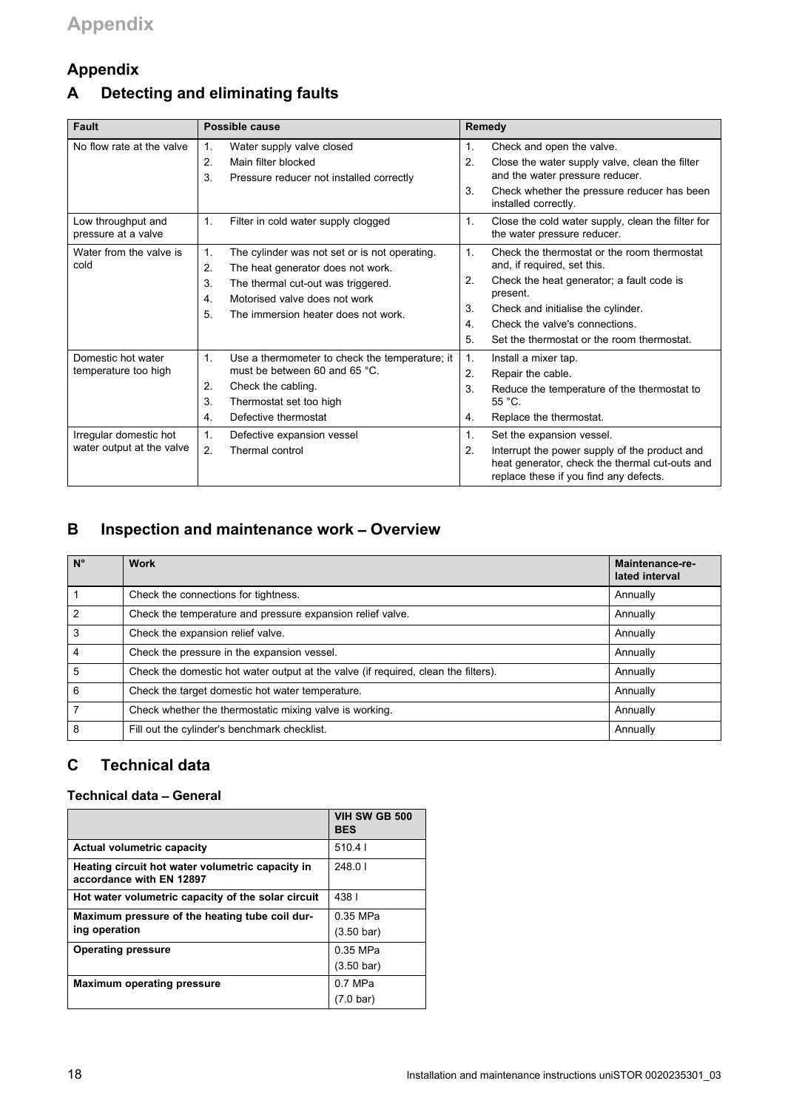## <span id="page-17-0"></span>**Appendix**

## **A Detecting and eliminating faults**

| <b>Fault</b><br>Possible cause            |                            | Remedy                                                                                       |                      |                                                                                                                                           |
|-------------------------------------------|----------------------------|----------------------------------------------------------------------------------------------|----------------------|-------------------------------------------------------------------------------------------------------------------------------------------|
| No flow rate at the valve                 | $\mathbf{1}$ .<br>2.<br>3. | Water supply valve closed<br>Main filter blocked<br>Pressure reducer not installed correctly | $\mathbf{1}$ .<br>2. | Check and open the valve.<br>Close the water supply valve, clean the filter<br>and the water pressure reducer.                            |
|                                           |                            |                                                                                              | 3.                   | Check whether the pressure reducer has been<br>installed correctly.                                                                       |
| Low throughput and<br>pressure at a valve | 1.                         | Filter in cold water supply clogged                                                          | 1.                   | Close the cold water supply, clean the filter for<br>the water pressure reducer.                                                          |
| Water from the valve is<br>cold           | 1.<br>2.                   | The cylinder was not set or is not operating.<br>The heat generator does not work.           | 1.                   | Check the thermostat or the room thermostat<br>and, if required, set this.                                                                |
|                                           | 3.<br>4.                   | The thermal cut-out was triggered.<br>Motorised valve does not work                          | 2.                   | Check the heat generator; a fault code is<br>present.                                                                                     |
|                                           | 5.                         | The immersion heater does not work.                                                          | 3.                   | Check and initialise the cylinder.                                                                                                        |
|                                           |                            |                                                                                              | $\overline{4}$       | Check the valve's connections.                                                                                                            |
|                                           |                            |                                                                                              | 5.                   | Set the thermostat or the room thermostat.                                                                                                |
| Domestic hot water                        | 1.                         | Use a thermometer to check the temperature; it                                               | 1.                   | Install a mixer tap.                                                                                                                      |
| temperature too high                      |                            | must be between 60 and 65 °C.                                                                | 2.                   | Repair the cable.                                                                                                                         |
|                                           | 2.                         | Check the cabling.                                                                           | 3.                   | Reduce the temperature of the thermostat to                                                                                               |
|                                           | 3.                         | Thermostat set too high                                                                      |                      | $55^{\circ}$ C.                                                                                                                           |
|                                           | 4.                         | Defective thermostat                                                                         | 4.                   | Replace the thermostat.                                                                                                                   |
| Irregular domestic hot                    | 1.                         | Defective expansion vessel                                                                   | $\mathbf{1}$ .       | Set the expansion vessel.                                                                                                                 |
| water output at the valve                 | 2.                         | Thermal control                                                                              | 2.                   | Interrupt the power supply of the product and<br>heat generator, check the thermal cut-outs and<br>replace these if you find any defects. |

## **B Inspection and maintenance work** – **Overview**

| $N^{\circ}$    | <b>Work</b>                                                                        | Maintenance-re-<br>lated interval |
|----------------|------------------------------------------------------------------------------------|-----------------------------------|
|                | Check the connections for tightness.                                               | Annually                          |
| $\overline{2}$ | Check the temperature and pressure expansion relief valve.                         | Annually                          |
| 3              | Check the expansion relief valve.                                                  | Annually                          |
| 4              | Check the pressure in the expansion vessel.                                        | Annually                          |
| 5              | Check the domestic hot water output at the valve (if required, clean the filters). | Annually                          |
| 6              | Check the target domestic hot water temperature.                                   | Annually                          |
|                | Check whether the thermostatic mixing valve is working.                            | Annually                          |
| 8              | Fill out the cylinder's benchmark checklist.                                       | Annually                          |

## **C Technical data**

#### **Technical data** – **General**

|                                                                              | VIH SW GB 500<br><b>BES</b> |
|------------------------------------------------------------------------------|-----------------------------|
| Actual volumetric capacity                                                   | 510.41                      |
| Heating circuit hot water volumetric capacity in<br>accordance with EN 12897 | 248.01                      |
| Hot water volumetric capacity of the solar circuit                           | 4381                        |
| Maximum pressure of the heating tube coil dur-                               | 0.35 MPa                    |
| ing operation                                                                | $(3.50 \text{ bar})$        |
| <b>Operating pressure</b>                                                    | 0.35 MPa                    |
|                                                                              | $(3.50 \text{ bar})$        |
| <b>Maximum operating pressure</b>                                            | $0.7$ MPa                   |
|                                                                              | (7.0 bar)                   |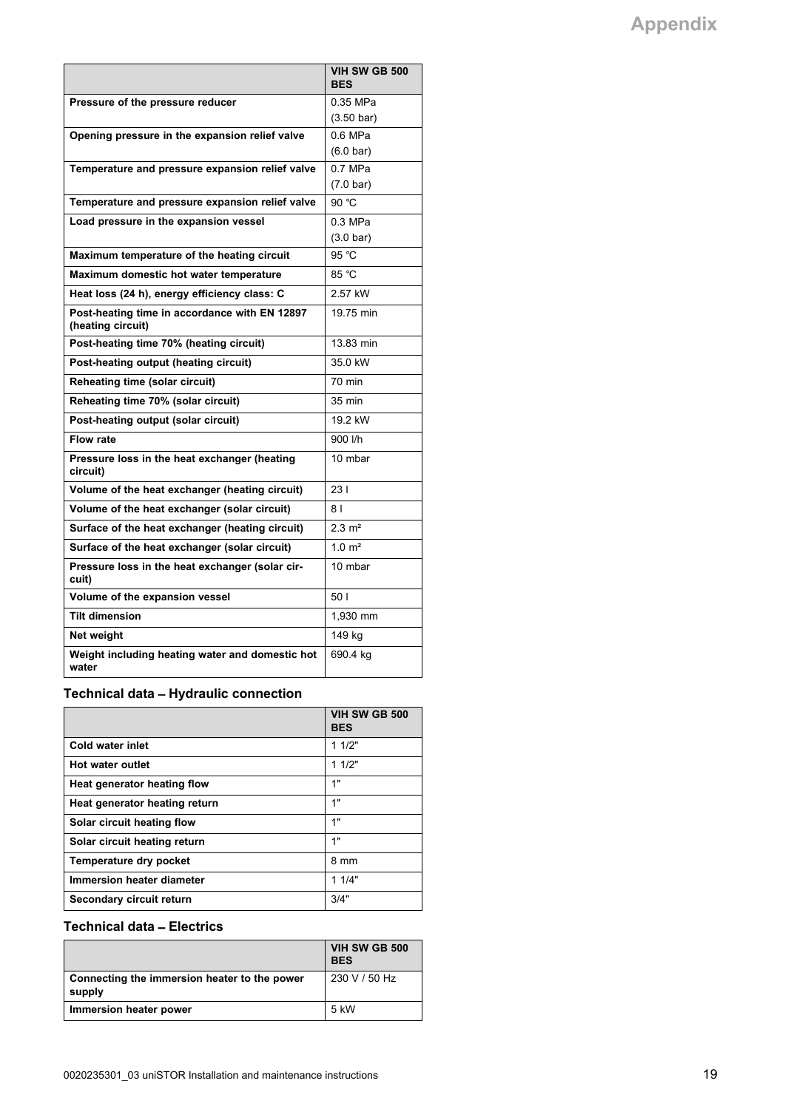|                                                                    | <b>VIH SW GB 500</b><br><b>BES</b> |
|--------------------------------------------------------------------|------------------------------------|
| Pressure of the pressure reducer                                   | 0.35 MPa                           |
|                                                                    | $(3.50 \text{ bar})$               |
| Opening pressure in the expansion relief valve                     | $0.6$ MPa                          |
|                                                                    | $(6.0 \text{ bar})$                |
| Temperature and pressure expansion relief valve                    | $0.7$ MPa                          |
|                                                                    | $(7.0 \text{ bar})$                |
| Temperature and pressure expansion relief valve                    | 90 °C                              |
| Load pressure in the expansion vessel                              | 0.3 MPa                            |
|                                                                    | $(3.0 \text{ bar})$                |
| Maximum temperature of the heating circuit                         | 95 °C                              |
| Maximum domestic hot water temperature                             | 85 °C                              |
| Heat loss (24 h), energy efficiency class: C                       | 2.57 kW                            |
| Post-heating time in accordance with EN 12897<br>(heating circuit) | 19.75 min                          |
| Post-heating time 70% (heating circuit)                            | 13.83 min                          |
| Post-heating output (heating circuit)                              | 35.0 kW                            |
| Reheating time (solar circuit)                                     | 70 min                             |
| Reheating time 70% (solar circuit)                                 | 35 min                             |
| Post-heating output (solar circuit)                                | 19.2 kW                            |
| <b>Flow rate</b>                                                   | 900 l/h                            |
| Pressure loss in the heat exchanger (heating<br>circuit)           | 10 mbar                            |
| Volume of the heat exchanger (heating circuit)                     | 231                                |
| Volume of the heat exchanger (solar circuit)                       | 8 <sub>1</sub>                     |
| Surface of the heat exchanger (heating circuit)                    | $2.3 \text{ m}^2$                  |
| Surface of the heat exchanger (solar circuit)                      | 1.0 m <sup>2</sup>                 |
| Pressure loss in the heat exchanger (solar cir-<br>cuit)           | 10 mbar                            |
| Volume of the expansion vessel                                     | 50 I                               |
| <b>Tilt dimension</b>                                              | 1,930 mm                           |
| Net weight                                                         | 149 kg                             |
| Weight including heating water and domestic hot<br>water           | 690.4 kg                           |

**Technical data** – **Hydraulic connection**

|                               | VIH SW GB 500<br><b>BES</b> |
|-------------------------------|-----------------------------|
| Cold water inlet              | 11/2"                       |
| <b>Hot water outlet</b>       | 11/2"                       |
| Heat generator heating flow   | 1"                          |
| Heat generator heating return | 1"                          |
| Solar circuit heating flow    | 1"                          |
| Solar circuit heating return  | 1"                          |
| Temperature dry pocket        | 8 mm                        |
| Immersion heater diameter     | 11/4"                       |
| Secondary circuit return      | 3/4"                        |

#### **Technical data** – **Electrics**

|                                                        | VIH SW GB 500<br><b>BES</b> |
|--------------------------------------------------------|-----------------------------|
| Connecting the immersion heater to the power<br>supply | 230 V / 50 Hz               |
| Immersion heater power                                 | 5 kW                        |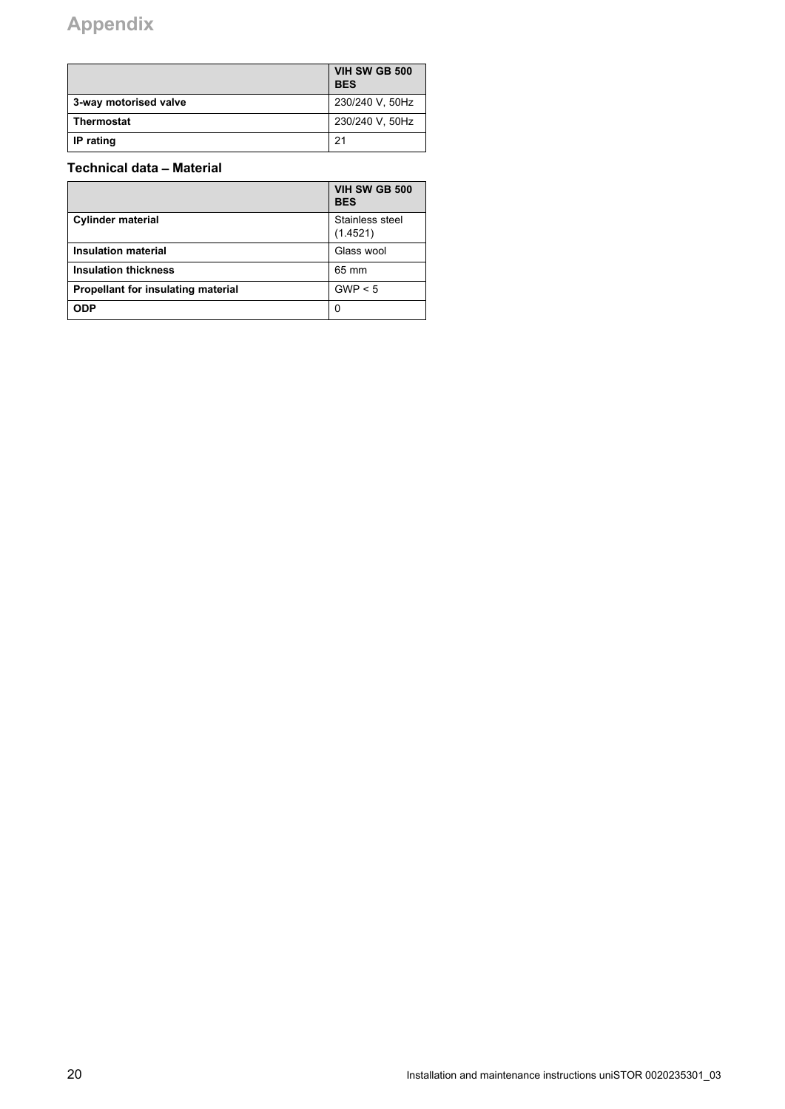# **Appendix**

|                       | VIH SW GB 500<br><b>BES</b> |
|-----------------------|-----------------------------|
| 3-way motorised valve | 230/240 V, 50Hz             |
| Thermostat            | 230/240 V, 50Hz             |
| IP rating             | 21                          |

#### **Technical data** – **Material**

|                                           | VIH SW GB 500<br><b>BES</b> |
|-------------------------------------------|-----------------------------|
| <b>Cylinder material</b>                  | Stainless steel<br>(1.4521) |
| Insulation material                       | Glass wool                  |
| <b>Insulation thickness</b>               | 65 mm                       |
| <b>Propellant for insulating material</b> | GWP < 5                     |
| <b>ODP</b>                                | 0                           |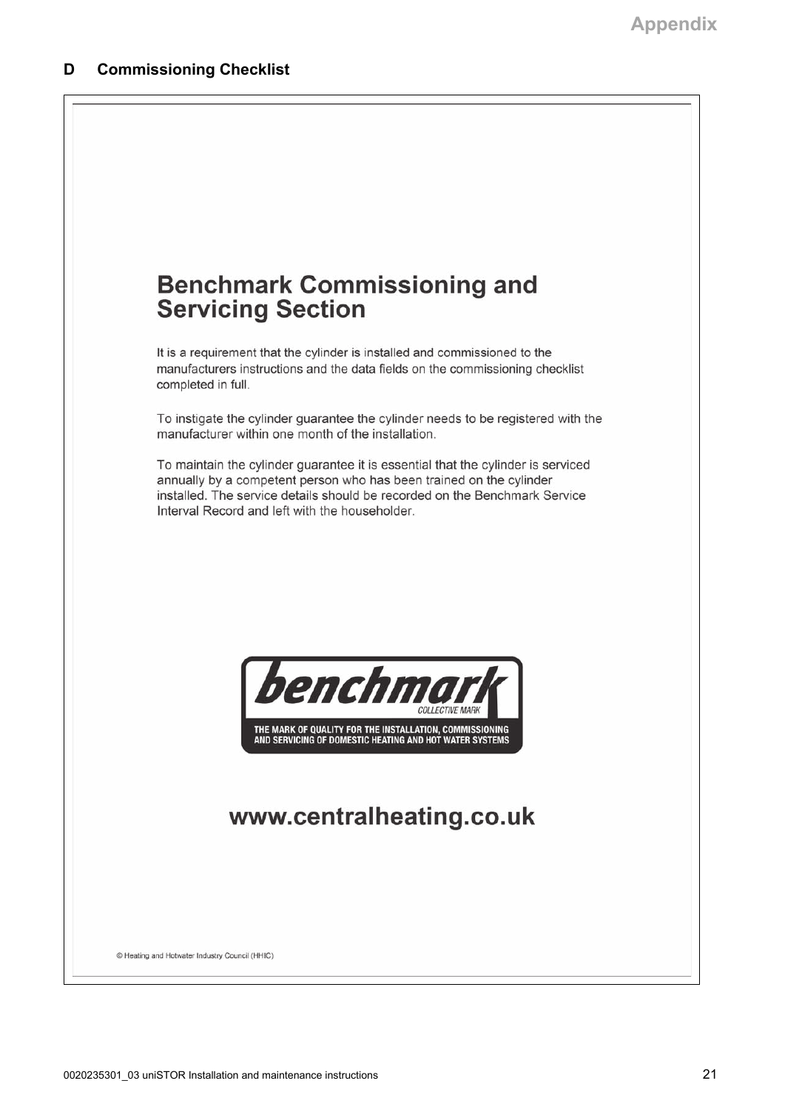<span id="page-20-0"></span>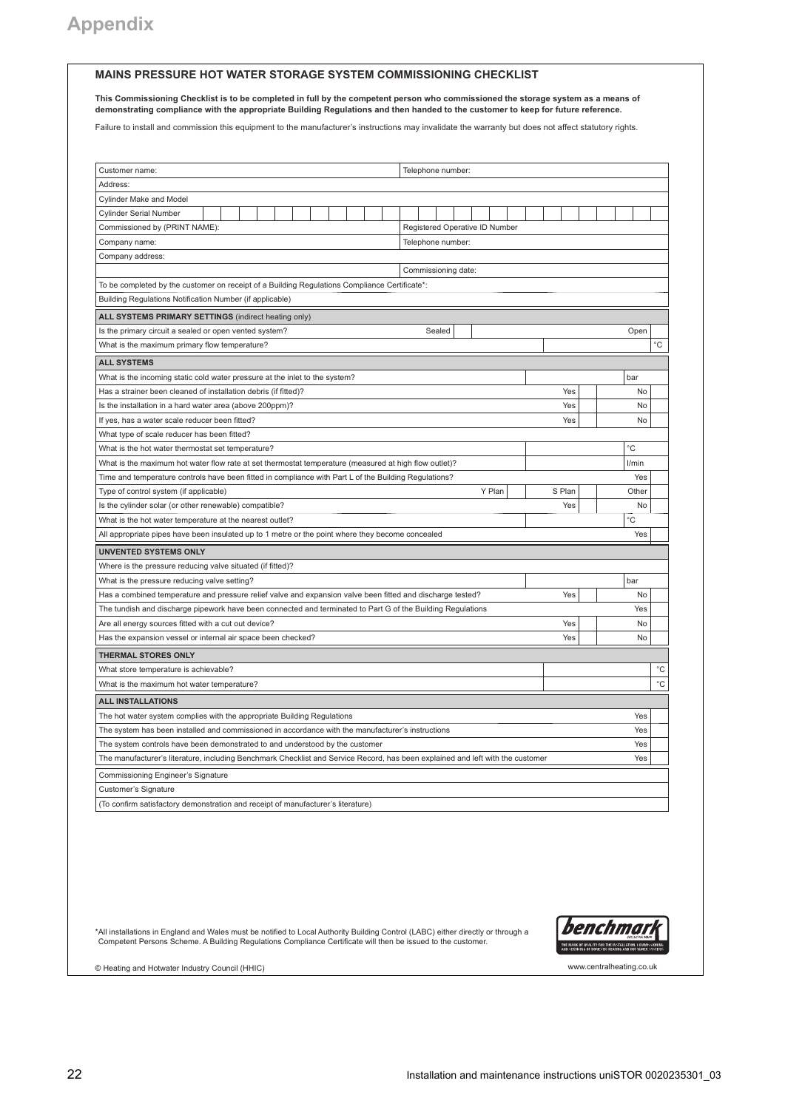#### **MAINS PRESSURE HOT WATER STORAGE SYSTEM COMMISSIONING CHECKLIST**

**This Commissioning Checklist is to be completed in full by the competent person who commissioned the storage system as a means of demonstrating compliance with the appropriate Building Regulations and then handed to the customer to keep for future reference.**

Failure to install and commission this equipment to the manufacturer's instructions may invalidate the warranty but does not affect statutory rights.

| Customer name:<br>Telephone number:                                                                                                                                                                            |        |                   |
|----------------------------------------------------------------------------------------------------------------------------------------------------------------------------------------------------------------|--------|-------------------|
| Address:                                                                                                                                                                                                       |        |                   |
| <b>Cylinder Make and Model</b>                                                                                                                                                                                 |        |                   |
| <b>Cylinder Serial Number</b>                                                                                                                                                                                  |        |                   |
| Registered Operative ID Number<br>Commissioned by (PRINT NAME):                                                                                                                                                |        |                   |
| Company name:<br>Telephone number:                                                                                                                                                                             |        |                   |
| Company address:                                                                                                                                                                                               |        |                   |
| Commissioning date:                                                                                                                                                                                            |        |                   |
| To be completed by the customer on receipt of a Building Regulations Compliance Certificate*:                                                                                                                  |        |                   |
| Building Regulations Notification Number (if applicable)                                                                                                                                                       |        |                   |
| ALL SYSTEMS PRIMARY SETTINGS (indirect heating only)                                                                                                                                                           |        |                   |
| Is the primary circuit a sealed or open vented system?<br>Sealed                                                                                                                                               |        | Open              |
| What is the maximum primary flow temperature?                                                                                                                                                                  |        | °C                |
| <b>ALL SYSTEMS</b>                                                                                                                                                                                             |        |                   |
| What is the incoming static cold water pressure at the inlet to the system?                                                                                                                                    |        | bar               |
| Has a strainer been cleaned of installation debris (if fitted)?                                                                                                                                                | Yes    | No                |
| Is the installation in a hard water area (above 200ppm)?                                                                                                                                                       | Yes    | <b>No</b>         |
|                                                                                                                                                                                                                | Yes    | No                |
| If yes, has a water scale reducer been fitted?                                                                                                                                                                 |        |                   |
| What type of scale reducer has been fitted?                                                                                                                                                                    |        | °C                |
| What is the hot water thermostat set temperature?                                                                                                                                                              |        |                   |
| What is the maximum hot water flow rate at set thermostat temperature (measured at high flow outlet)?                                                                                                          |        | l/min             |
| Time and temperature controls have been fitted in compliance with Part L of the Building Regulations?                                                                                                          |        | Yes               |
| Y Plan<br>Type of control system (if applicable)                                                                                                                                                               | S Plan | Other             |
| Is the cylinder solar (or other renewable) compatible?                                                                                                                                                         | Yes    | No                |
| What is the hot water temperature at the nearest outlet?                                                                                                                                                       |        | $^{\circ}$ C      |
| All appropriate pipes have been insulated up to 1 metre or the point where they become concealed                                                                                                               |        | Yes               |
| <b>UNVENTED SYSTEMS ONLY</b>                                                                                                                                                                                   |        |                   |
| Where is the pressure reducing valve situated (if fitted)?                                                                                                                                                     |        |                   |
| What is the pressure reducing valve setting?                                                                                                                                                                   |        | bar               |
| Has a combined temperature and pressure relief valve and expansion valve been fitted and discharge tested?                                                                                                     | Yes    | No                |
| The tundish and discharge pipework have been connected and terminated to Part G of the Building Regulations                                                                                                    |        | Yes               |
| Are all energy sources fitted with a cut out device?                                                                                                                                                           | Yes    | N <sub>0</sub>    |
| Has the expansion vessel or internal air space been checked?                                                                                                                                                   | Yes    | No                |
|                                                                                                                                                                                                                |        |                   |
| <b>THERMAL STORES ONLY</b>                                                                                                                                                                                     |        | $^{\circ}{\rm C}$ |
| What store temperature is achievable?                                                                                                                                                                          |        |                   |
| What is the maximum hot water temperature?                                                                                                                                                                     |        | °C                |
| <b>ALL INSTALLATIONS</b>                                                                                                                                                                                       |        |                   |
|                                                                                                                                                                                                                |        | Yes               |
| The hot water system complies with the appropriate Building Regulations<br>The system has been installed and commissioned in accordance with the manufacturer's instructions                                   |        | Yes               |
|                                                                                                                                                                                                                |        | Yes               |
| The system controls have been demonstrated to and understood by the customer<br>The manufacturer's literature, including Benchmark Checklist and Service Record, has been explained and left with the customer |        | Yes               |
|                                                                                                                                                                                                                |        |                   |
| Commissioning Engineer's Signature                                                                                                                                                                             |        |                   |
| Customer's Signature<br>(To confirm satisfactory demonstration and receipt of manufacturer's literature)                                                                                                       |        |                   |

\*All installations in England and Wales must be notified to Local Authority Building Control (LABC) either directly or through a<br>Competent Persons Scheme. A Building Regulations Compliance Certificate will then be issued t



© Heating and Hotwater Industry Council (HHIC) www.centralheating.co.uk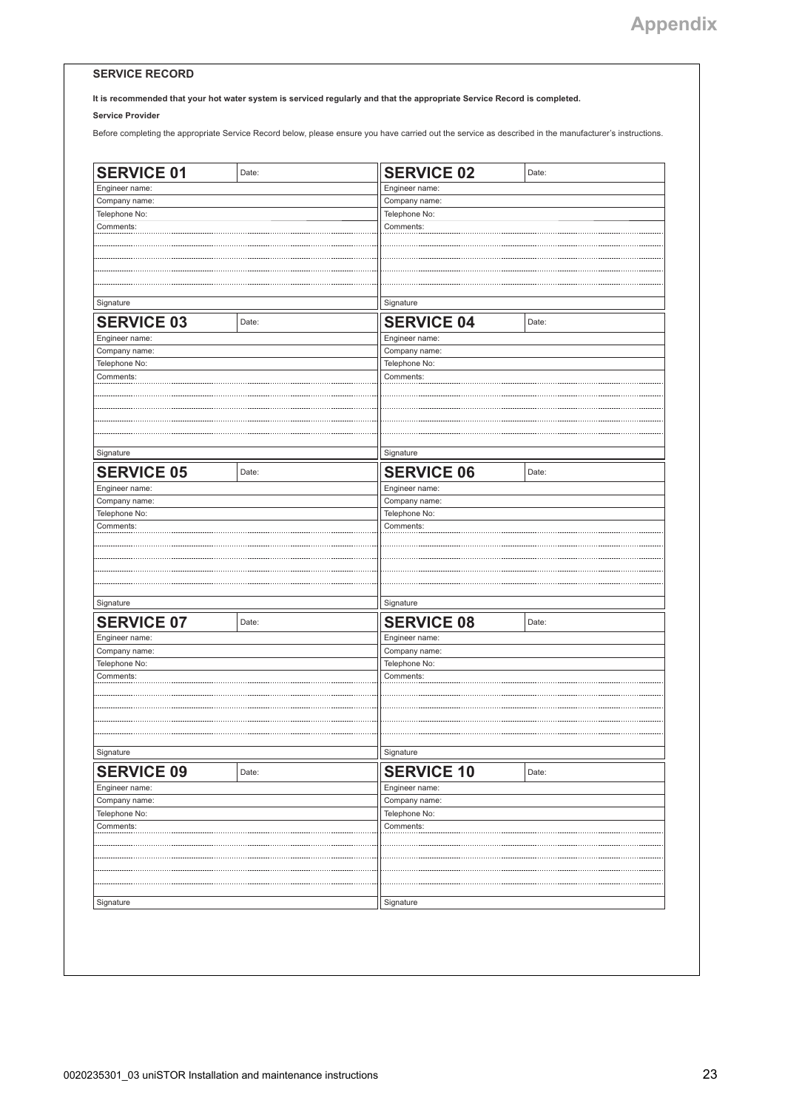#### **SERVICE RECORD**

**It is recommended that your hot water system is serviced regularly and that the appropriate Service Record is completed.**

**Service Provider**

Before completing the appropriate Service Record below, please ensure you have carried out the service as described in the manufacturer's instructions.

| <b>SERVICE 01</b>              | Date:         | <b>SERVICE 02</b>              | Date:     |  |  |
|--------------------------------|---------------|--------------------------------|-----------|--|--|
| Engineer name:                 |               | Engineer name:                 |           |  |  |
| Company name:                  |               | Company name:                  |           |  |  |
| Telephone No:                  |               | Telephone No:                  |           |  |  |
| Comments:                      |               | Comments:                      |           |  |  |
|                                |               |                                |           |  |  |
|                                |               |                                |           |  |  |
|                                |               |                                |           |  |  |
|                                |               |                                |           |  |  |
|                                |               |                                |           |  |  |
| Signature                      |               | Signature                      |           |  |  |
| <b>SERVICE 03</b>              | Date:         | <b>SERVICE 04</b>              | Date:     |  |  |
| Engineer name:                 |               | Engineer name:                 |           |  |  |
| Company name:                  |               | Company name:                  |           |  |  |
| Telephone No:                  |               | Telephone No:                  |           |  |  |
| Comments:                      |               | Comments:                      |           |  |  |
|                                |               |                                |           |  |  |
|                                |               |                                |           |  |  |
|                                |               |                                |           |  |  |
|                                |               |                                |           |  |  |
|                                |               |                                |           |  |  |
| Signature                      |               | Signature                      |           |  |  |
| <b>SERVICE 05</b>              | Date:         | <b>SERVICE 06</b>              | Date:     |  |  |
| Engineer name:                 |               | Engineer name:                 |           |  |  |
| Company name:                  |               | Company name:                  |           |  |  |
| Telephone No:                  |               | Telephone No:                  |           |  |  |
| Comments:                      |               | Comments:                      |           |  |  |
|                                |               |                                |           |  |  |
|                                |               |                                |           |  |  |
|                                |               |                                |           |  |  |
|                                |               |                                |           |  |  |
|                                |               |                                |           |  |  |
| Signature                      |               | Signature                      |           |  |  |
| <b>SERVICE 07</b>              | Date:         | <b>SERVICE 08</b>              | Date:     |  |  |
| Engineer name:                 |               | Engineer name:                 |           |  |  |
| Company name:                  |               | Company name:                  |           |  |  |
| Telephone No:                  | Telephone No: |                                |           |  |  |
| Comments:                      |               |                                | Comments: |  |  |
|                                |               |                                |           |  |  |
|                                |               |                                |           |  |  |
|                                |               |                                |           |  |  |
|                                |               |                                |           |  |  |
|                                |               |                                |           |  |  |
| Signature                      |               | Signature                      |           |  |  |
|                                | Date:         |                                | Date:     |  |  |
| <b>SERVICE 09</b>              |               | <b>SERVICE 10</b>              |           |  |  |
| Engineer name:                 |               | Engineer name:                 |           |  |  |
| Company name:<br>Telephone No: |               | Company name:<br>Telephone No: |           |  |  |
| Comments:                      |               | Comments:                      |           |  |  |
|                                |               |                                |           |  |  |
|                                |               |                                |           |  |  |
|                                |               |                                |           |  |  |
|                                |               |                                |           |  |  |
|                                |               |                                |           |  |  |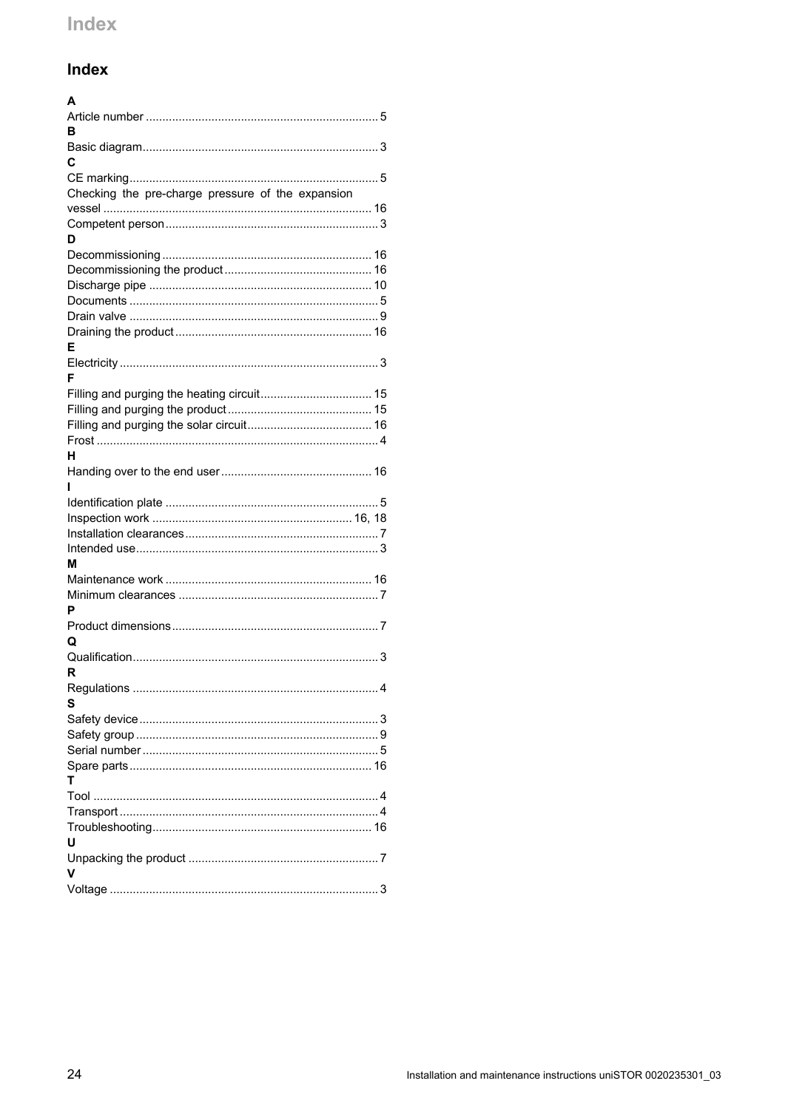## <span id="page-23-0"></span>Index

| A                                                 |  |
|---------------------------------------------------|--|
|                                                   |  |
| в                                                 |  |
|                                                   |  |
| C                                                 |  |
|                                                   |  |
| Checking the pre-charge pressure of the expansion |  |
|                                                   |  |
|                                                   |  |
| D                                                 |  |
|                                                   |  |
|                                                   |  |
|                                                   |  |
|                                                   |  |
|                                                   |  |
| F                                                 |  |
|                                                   |  |
| F                                                 |  |
|                                                   |  |
|                                                   |  |
|                                                   |  |
|                                                   |  |
| н                                                 |  |
|                                                   |  |
|                                                   |  |
|                                                   |  |
|                                                   |  |
|                                                   |  |
|                                                   |  |
| м                                                 |  |
|                                                   |  |
|                                                   |  |
| P                                                 |  |
|                                                   |  |
| Q                                                 |  |
| 3                                                 |  |
| R                                                 |  |
|                                                   |  |
| s                                                 |  |
|                                                   |  |
|                                                   |  |
|                                                   |  |
| т                                                 |  |
|                                                   |  |
|                                                   |  |
|                                                   |  |
| U                                                 |  |
|                                                   |  |
| v                                                 |  |
|                                                   |  |
|                                                   |  |